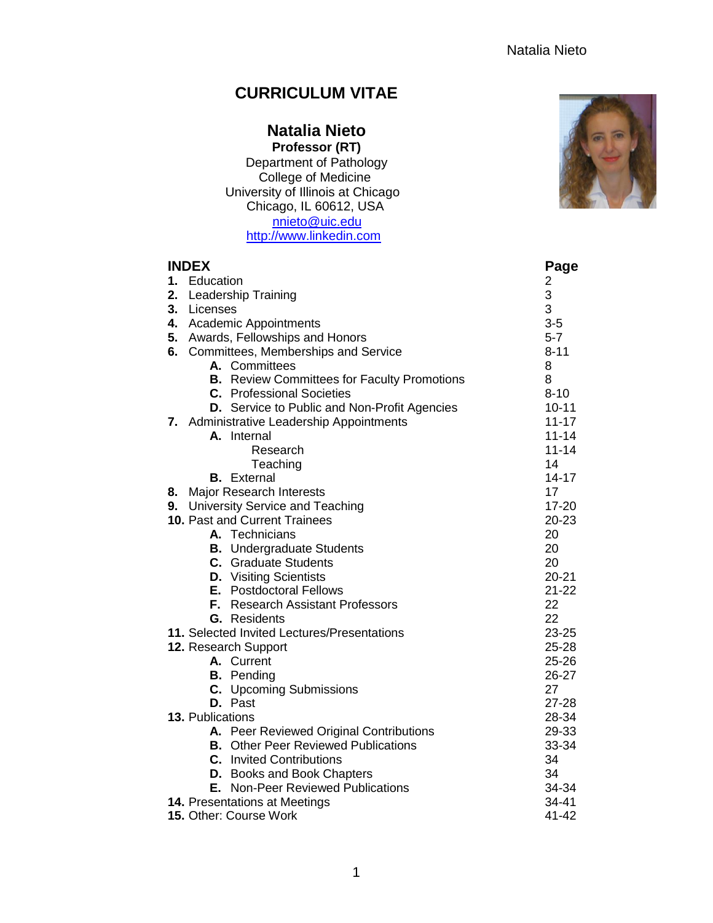# **CURRICULUM VITAE**

## **Natalia Nieto Professor (RT)**

Department of Pathology College of Medicine University of Illinois at Chicago Chicago, IL 60612, USA [nnieto@uic.edu](mailto:nnieto@uic.edu) [http://www.linkedin.com](http://www.linkedin.com/)

| <b>INDEX</b> |                                                     | Page           |
|--------------|-----------------------------------------------------|----------------|
| 1. Education |                                                     | $\overline{c}$ |
| 2.           | <b>Leadership Training</b>                          | 3              |
| 3.           | Licenses                                            | 3              |
|              | 4. Academic Appointments                            | $3-5$          |
|              | 5. Awards, Fellowships and Honors                   | $5 - 7$        |
|              | 6. Committees, Memberships and Service              | $8 - 11$       |
|              | A. Committees                                       | 8              |
|              | <b>B.</b> Review Committees for Faculty Promotions  | 8              |
|              | <b>C.</b> Professional Societies                    | $8 - 10$       |
|              | <b>D.</b> Service to Public and Non-Profit Agencies | $10 - 11$      |
|              | 7. Administrative Leadership Appointments           | $11 - 17$      |
|              | A. Internal                                         | $11 - 14$      |
|              | Research                                            | $11 - 14$      |
|              | Teaching                                            | 14             |
|              | <b>B.</b> External                                  | $14 - 17$      |
| 8.           | <b>Major Research Interests</b>                     | 17             |
| 9.           | University Service and Teaching                     | $17 - 20$      |
|              | 10. Past and Current Trainees                       | $20 - 23$      |
|              | A. Technicians                                      | 20             |
|              | <b>B.</b> Undergraduate Students                    | 20             |
|              | <b>C.</b> Graduate Students                         | 20             |
|              | <b>D.</b> Visiting Scientists                       | $20 - 21$      |
|              | <b>E.</b> Postdoctoral Fellows                      | $21 - 22$      |
|              | F. Research Assistant Professors                    | 22             |
|              | <b>G.</b> Residents                                 | 22             |
|              | 11. Selected Invited Lectures/Presentations         | $23 - 25$      |
|              | 12. Research Support                                | $25 - 28$      |
|              | A. Current                                          | $25 - 26$      |
|              | <b>B.</b> Pending                                   | 26-27          |
|              | C. Upcoming Submissions                             | 27             |
|              | D. Past                                             | $27 - 28$      |
|              | 13. Publications                                    | 28-34          |
|              | A. Peer Reviewed Original Contributions             | 29-33          |
|              | <b>B.</b> Other Peer Reviewed Publications          | 33-34          |
|              | <b>C.</b> Invited Contributions                     | 34             |
|              | <b>D.</b> Books and Book Chapters                   | 34             |
|              | E. Non-Peer Reviewed Publications                   | 34-34          |
|              | 14. Presentations at Meetings                       | $34 - 41$      |
|              | 15. Other: Course Work                              | 41-42          |

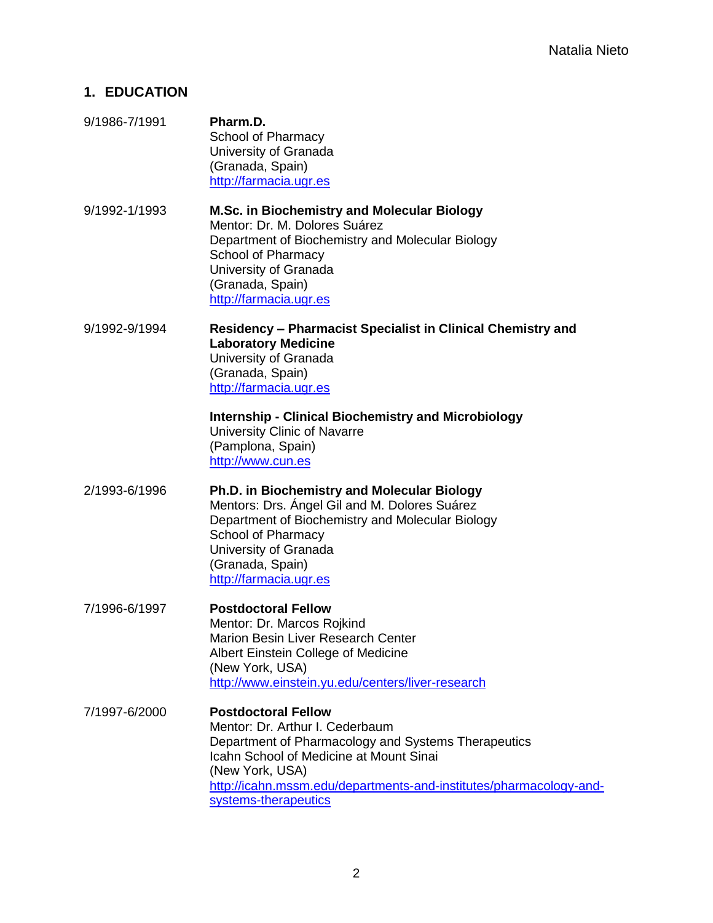## **1. EDUCATION**

9/1986-7/1991 **Pharm.D.** School of Pharmacy University of Granada (Granada, Spain) [http://farmacia.ugr.es](http://farmacia.ugr.es/) 9/1992-1/1993 **M.Sc. in Biochemistry and Molecular Biology** Mentor: Dr. M. Dolores Suárez Department of Biochemistry and Molecular Biology School of Pharmacy University of Granada (Granada, Spain) [http://farmacia.ugr.es](http://farmacia.ugr.es/) 9/1992-9/1994 **Residency – Pharmacist Specialist in Clinical Chemistry and Laboratory Medicine** University of Granada (Granada, Spain) [http://farmacia.ugr.es](http://farmacia.ugr.es/) **Internship - Clinical Biochemistry and Microbiology** University Clinic of Navarre (Pamplona, Spain) [http://www.cun.es](http://www.cun.es/) 2/1993-6/1996 **Ph.D. in Biochemistry and Molecular Biology** Mentors: Drs. Ángel Gil and M. Dolores Suárez Department of Biochemistry and Molecular Biology School of Pharmacy University of Granada (Granada, Spain) [http://farmacia.ugr.es](http://farmacia.ugr.es/) 7/1996-6/1997 **Postdoctoral Fellow** Mentor: Dr. Marcos Rojkind Marion Besin Liver Research Center Albert Einstein College of Medicine (New York, USA) [http://www.einstein.yu.edu/centers/liver-research](http://www.einstein.yu.edu/centers/liver-research/) 7/1997-6/2000 **Postdoctoral Fellow** Mentor: Dr. Arthur I. Cederbaum Department of Pharmacology and Systems Therapeutics Icahn School of Medicine at Mount Sinai (New York, USA) [http://icahn.mssm.edu/departments-and-institutes/pharmacology-and](http://icahn.mssm.edu/departments-and-institutes/pharmacology-and-systems-therapeutics)[systems-therapeutics](http://icahn.mssm.edu/departments-and-institutes/pharmacology-and-systems-therapeutics)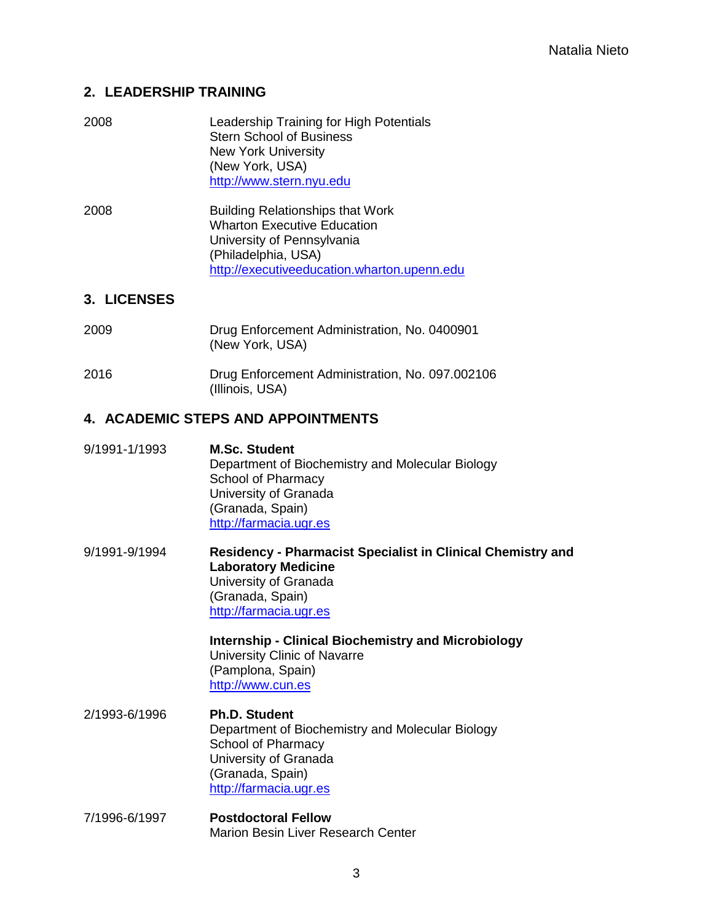## **2. LEADERSHIP TRAINING**

| 2008 | Leadership Training for High Potentials |
|------|-----------------------------------------|
|      | <b>Stern School of Business</b>         |
|      | <b>New York University</b>              |
|      | (New York, USA)                         |
|      | http://www.stern.nyu.edu                |
|      |                                         |

2008 Building Relationships that Work Wharton Executive Education University of Pennsylvania (Philadelphia, USA) [http://executiveeducation.wharton.upenn.edu](http://executiveeducation.wharton.upenn.edu/)

## **3. LICENSES**

| 2009 | Drug Enforcement Administration, No. 0400901<br>(New York, USA)    |
|------|--------------------------------------------------------------------|
| 2016 | Drug Enforcement Administration, No. 097.002106<br>(Illinois, USA) |

# **4. ACADEMIC STEPS AND APPOINTMENTS**

| 9/1991-1/1993 | <b>M.Sc. Student</b><br>Department of Biochemistry and Molecular Biology<br>School of Pharmacy<br>University of Granada<br>(Granada, Spain)<br>http://farmacia.ugr.es   |
|---------------|-------------------------------------------------------------------------------------------------------------------------------------------------------------------------|
| 9/1991-9/1994 | <b>Residency - Pharmacist Specialist in Clinical Chemistry and</b><br><b>Laboratory Medicine</b><br>University of Granada<br>(Granada, Spain)<br>http://farmacia.ugr.es |

**Internship - Clinical Biochemistry and Microbiology** University Clinic of Navarre (Pamplona, Spain) [http://www.cun.es](http://www.cun.es/)

- 2/1993-6/1996 **Ph.D. Student** Department of Biochemistry and Molecular Biology School of Pharmacy University of Granada (Granada, Spain) [http://farmacia.ugr.es](http://farmacia.ugr.es/)
- 7/1996-6/1997 **Postdoctoral Fellow** Marion Besin Liver Research Center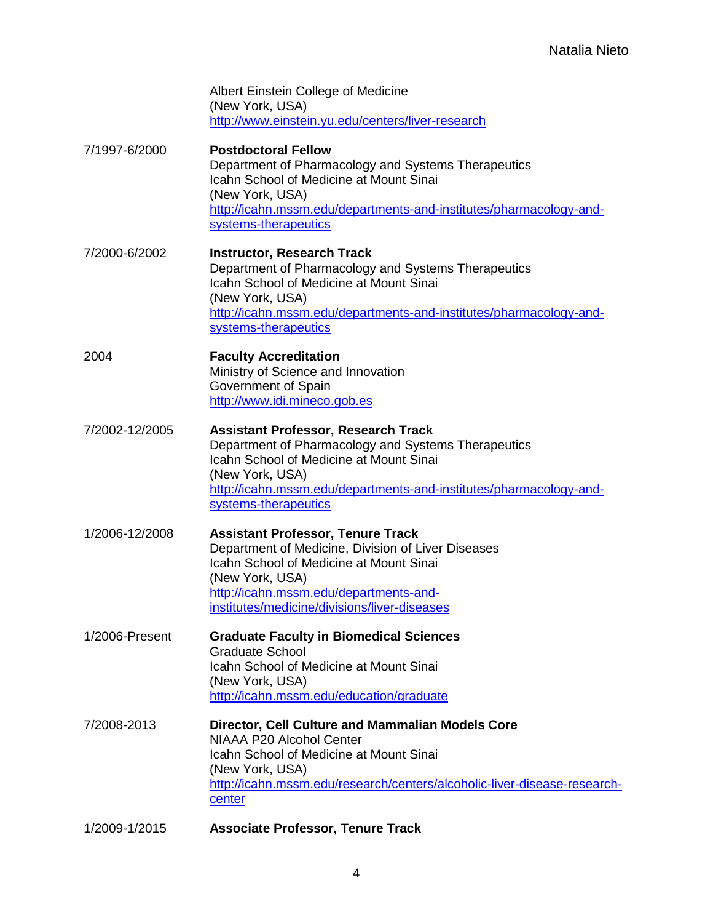| Albert Einstein College of Medicine               |
|---------------------------------------------------|
| (New York, USA)                                   |
| http://www.einstein.yu.edu/centers/liver-research |

- 7/1997-6/2000 **Postdoctoral Fellow** Department of Pharmacology and Systems Therapeutics Icahn School of Medicine at Mount Sinai (New York, USA) [http://icahn.mssm.edu/departments-and-institutes/pharmacology-and](http://icahn.mssm.edu/departments-and-institutes/pharmacology-and-systems-therapeutics)[systems-therapeutics](http://icahn.mssm.edu/departments-and-institutes/pharmacology-and-systems-therapeutics)
- 7/2000-6/2002 **Instructor, Research Track** Department of Pharmacology and Systems Therapeutics Icahn School of Medicine at Mount Sinai (New York, USA) [http://icahn.mssm.edu/departments-and-institutes/pharmacology-and](http://icahn.mssm.edu/departments-and-institutes/pharmacology-and-systems-therapeutics)[systems-therapeutics](http://icahn.mssm.edu/departments-and-institutes/pharmacology-and-systems-therapeutics)
- 2004 **Faculty Accreditation** Ministry of Science and Innovation Government of Spain [http://www.idi.mineco.gob.es](http://www.idi.mineco.gob.es/)
- 7/2002-12/2005 **Assistant Professor, Research Track**  Department of Pharmacology and Systems Therapeutics Icahn School of Medicine at Mount Sinai (New York, USA) [http://icahn.mssm.edu/departments-and-institutes/pharmacology-and](http://icahn.mssm.edu/departments-and-institutes/pharmacology-and-systems-therapeutics)[systems-therapeutics](http://icahn.mssm.edu/departments-and-institutes/pharmacology-and-systems-therapeutics)
- 1/2006-12/2008 **Assistant Professor, Tenure Track** Department of Medicine, Division of Liver Diseases Icahn School of Medicine at Mount Sinai (New York, USA) [http://icahn.mssm.edu/departments-and](http://icahn.mssm.edu/departments-and-institutes/medicine/divisions/liver-diseases)[institutes/medicine/divisions/liver-diseases](http://icahn.mssm.edu/departments-and-institutes/medicine/divisions/liver-diseases)
- 1/2006-Present **Graduate Faculty in Biomedical Sciences** Graduate School Icahn School of Medicine at Mount Sinai (New York, USA) <http://icahn.mssm.edu/education/graduate>
- 7/2008-2013 **Director, Cell Culture and Mammalian Models Core** NIAAA P20 Alcohol Center Icahn School of Medicine at Mount Sinai (New York, USA) [http://icahn.mssm.edu/research/centers/alcoholic-liver-disease-research](http://icahn.mssm.edu/research/centers/alcoholic-liver-disease-research-)center
- 1/2009-1/2015 **Associate Professor, Tenure Track**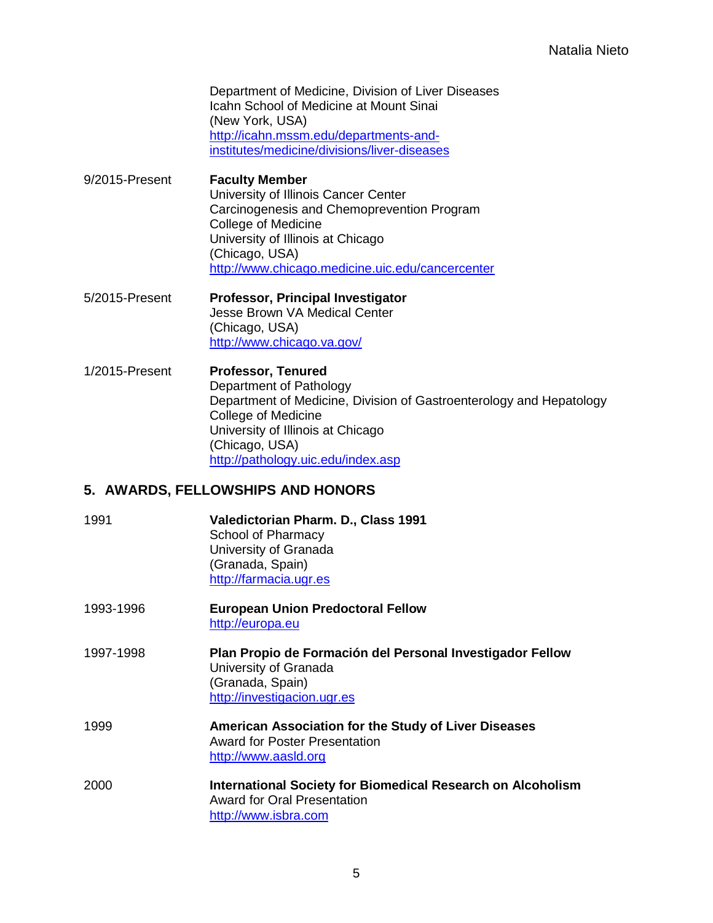Department of Medicine, Division of Liver Diseases Icahn School of Medicine at Mount Sinai (New York, USA) [http://icahn.mssm.edu/departments-and](http://icahn.mssm.edu/departments-and-institutes/medicine/divisions/liver-diseases)[institutes/medicine/divisions/liver-diseases](http://icahn.mssm.edu/departments-and-institutes/medicine/divisions/liver-diseases)

- 9/2015-Present **Faculty Member** University of Illinois Cancer Center Carcinogenesis and Chemoprevention Program College of Medicine University of Illinois at Chicago (Chicago, USA) <http://www.chicago.medicine.uic.edu/cancercenter>
- 5/2015-Present **Professor, Principal Investigator** Jesse Brown VA Medical Center (Chicago, USA) <http://www.chicago.va.gov/>
- 1/2015-Present **Professor, Tenured** Department of Pathology Department of Medicine, Division of Gastroenterology and Hepatology College of Medicine University of Illinois at Chicago (Chicago, USA) <http://pathology.uic.edu/index.asp>

# **5. AWARDS, FELLOWSHIPS AND HONORS**

- 1991 **Valedictorian Pharm. D., Class 1991** School of Pharmacy University of Granada (Granada, Spain) [http://farmacia.ugr.es](http://farmacia.ugr.es/)
- 1993-1996 **European Union Predoctoral Fellow** [http://europa.eu](http://europa.eu/)
- 1997-1998 **Plan Propio de Formación del Personal Investigador Fellow** University of Granada (Granada, Spain) [http://investigacion.ugr.es](http://investigacion.ugr.es/)
- 1999 **American Association for the Study of Liver Diseases** Award for Poster Presentation [http://www.aasld.org](http://www.aasld.org/)
- 2000 **International Society for Biomedical Research on Alcoholism** Award for Oral Presentation [http://www.isbra.com](http://www.isbra.com/)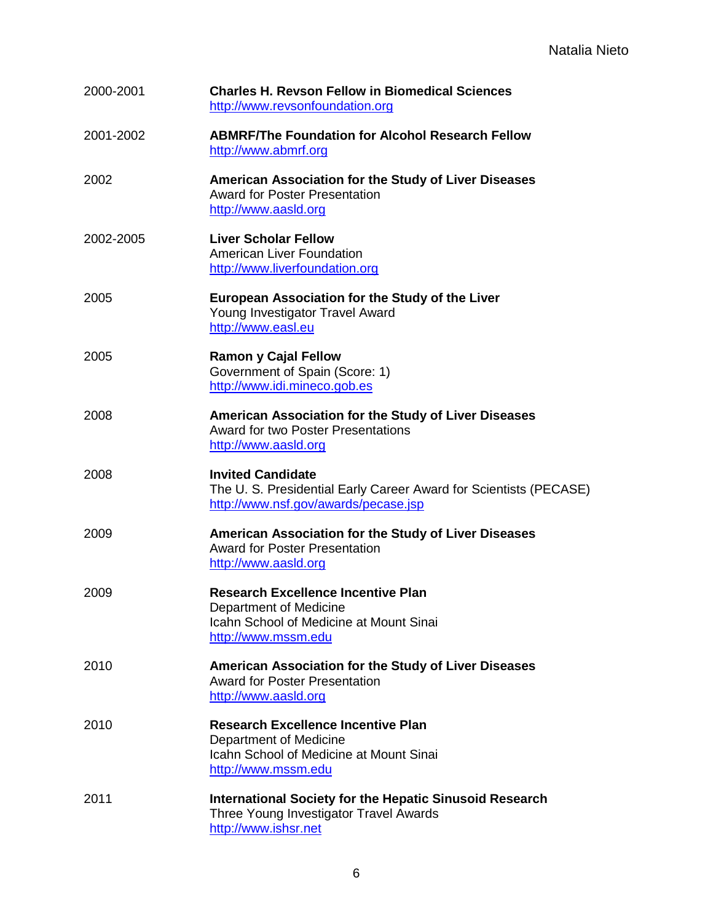| 2000-2001 | <b>Charles H. Revson Fellow in Biomedical Sciences</b><br>http://www.revsonfoundation.org                                                    |
|-----------|----------------------------------------------------------------------------------------------------------------------------------------------|
| 2001-2002 | <b>ABMRF/The Foundation for Alcohol Research Fellow</b><br>http://www.abmrf.org                                                              |
| 2002      | American Association for the Study of Liver Diseases<br><b>Award for Poster Presentation</b><br>http://www.aasld.org                         |
| 2002-2005 | <b>Liver Scholar Fellow</b><br><b>American Liver Foundation</b><br>http://www.liverfoundation.org                                            |
| 2005      | <b>European Association for the Study of the Liver</b><br>Young Investigator Travel Award<br>http://www.easl.eu                              |
| 2005      | <b>Ramon y Cajal Fellow</b><br>Government of Spain (Score: 1)<br>http://www.idi.mineco.gob.es                                                |
| 2008      | American Association for the Study of Liver Diseases<br><b>Award for two Poster Presentations</b><br>http://www.aasld.org                    |
| 2008      | <b>Invited Candidate</b><br>The U. S. Presidential Early Career Award for Scientists (PECASE)<br>http://www.nsf.gov/awards/pecase.jsp        |
| 2009      | American Association for the Study of Liver Diseases<br><b>Award for Poster Presentation</b><br>http://www.aasld.org                         |
| 2009      | <b>Research Excellence Incentive Plan</b><br>Department of Medicine<br><b>Icahn School of Medicine at Mount Sinai</b><br>http://www.mssm.edu |
| 2010      | American Association for the Study of Liver Diseases<br><b>Award for Poster Presentation</b><br>http://www.aasld.org                         |
| 2010      | <b>Research Excellence Incentive Plan</b><br>Department of Medicine<br>Icahn School of Medicine at Mount Sinai<br>http://www.mssm.edu        |
| 2011      | <b>International Society for the Hepatic Sinusoid Research</b><br>Three Young Investigator Travel Awards<br>http://www.ishsr.net             |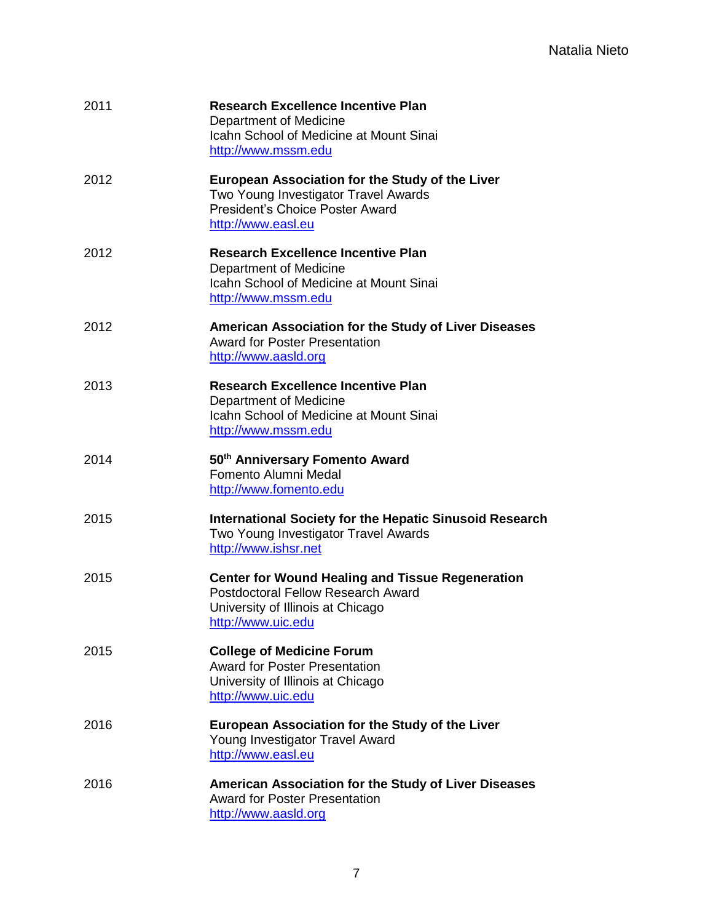| 2011 | <b>Research Excellence Incentive Plan</b><br>Department of Medicine<br>Icahn School of Medicine at Mount Sinai<br>http://www.mssm.edu                          |
|------|----------------------------------------------------------------------------------------------------------------------------------------------------------------|
| 2012 | <b>European Association for the Study of the Liver</b><br>Two Young Investigator Travel Awards<br><b>President's Choice Poster Award</b><br>http://www.easl.eu |
| 2012 | <b>Research Excellence Incentive Plan</b><br>Department of Medicine<br>Icahn School of Medicine at Mount Sinai<br>http://www.mssm.edu                          |
| 2012 | American Association for the Study of Liver Diseases<br><b>Award for Poster Presentation</b><br>http://www.aasld.org                                           |
| 2013 | <b>Research Excellence Incentive Plan</b><br>Department of Medicine<br>Icahn School of Medicine at Mount Sinai<br>http://www.mssm.edu                          |
| 2014 | 50th Anniversary Fomento Award<br>Fomento Alumni Medal<br>http://www.fomento.edu                                                                               |
| 2015 | <b>International Society for the Hepatic Sinusoid Research</b><br>Two Young Investigator Travel Awards<br>http://www.ishsr.net                                 |
| 2015 | <b>Center for Wound Healing and Tissue Regeneration</b><br>Postdoctoral Fellow Research Award<br>University of Illinois at Chicago<br>http://www.uic.edu       |
| 2015 | <b>College of Medicine Forum</b><br><b>Award for Poster Presentation</b><br>University of Illinois at Chicago<br>http://www.uic.edu                            |
| 2016 | <b>European Association for the Study of the Liver</b><br>Young Investigator Travel Award<br>http://www.easl.eu                                                |
| 2016 | American Association for the Study of Liver Diseases<br><b>Award for Poster Presentation</b><br>http://www.aasld.org                                           |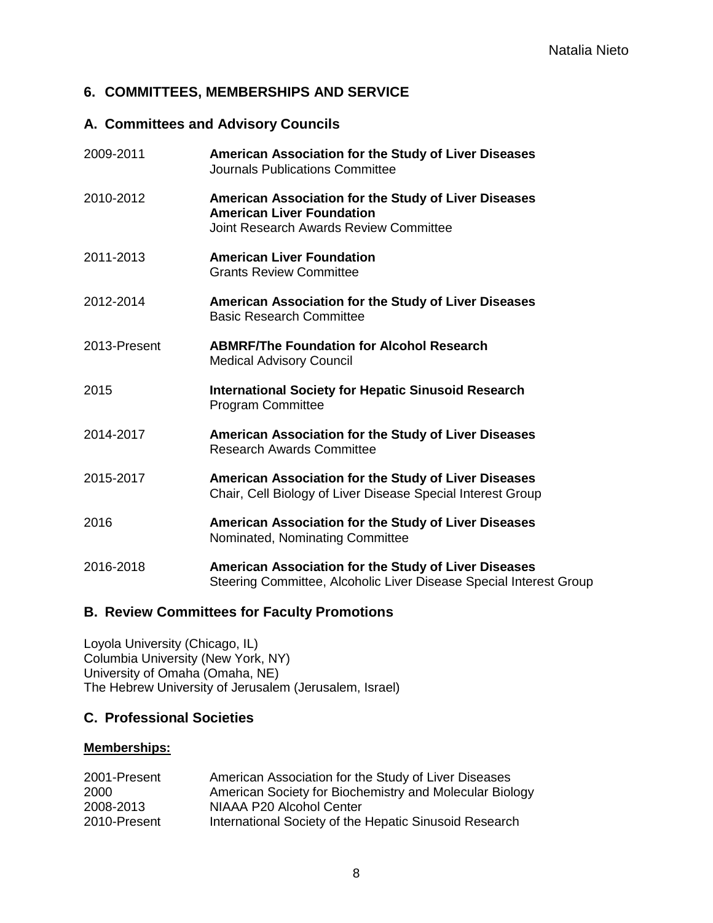# **6. COMMITTEES, MEMBERSHIPS AND SERVICE**

# **A. Committees and Advisory Councils**

| 2009-2011    | American Association for the Study of Liver Diseases<br>Journals Publications Committee                                            |
|--------------|------------------------------------------------------------------------------------------------------------------------------------|
| 2010-2012    | American Association for the Study of Liver Diseases<br><b>American Liver Foundation</b><br>Joint Research Awards Review Committee |
| 2011-2013    | <b>American Liver Foundation</b><br><b>Grants Review Committee</b>                                                                 |
| 2012-2014    | American Association for the Study of Liver Diseases<br><b>Basic Research Committee</b>                                            |
| 2013-Present | <b>ABMRF/The Foundation for Alcohol Research</b><br><b>Medical Advisory Council</b>                                                |
| 2015         | <b>International Society for Hepatic Sinusoid Research</b><br><b>Program Committee</b>                                             |
| 2014-2017    | American Association for the Study of Liver Diseases<br><b>Research Awards Committee</b>                                           |
| 2015-2017    | American Association for the Study of Liver Diseases<br>Chair, Cell Biology of Liver Disease Special Interest Group                |
| 2016         | American Association for the Study of Liver Diseases<br>Nominated, Nominating Committee                                            |
| 2016-2018    | American Association for the Study of Liver Diseases<br>Steering Committee, Alcoholic Liver Disease Special Interest Group         |

# **B. Review Committees for Faculty Promotions**

Loyola University (Chicago, IL) Columbia University (New York, NY) University of Omaha (Omaha, NE) The Hebrew University of Jerusalem (Jerusalem, Israel)

# **C. Professional Societies**

## **Memberships:**

| 2001-Present | American Association for the Study of Liver Diseases    |
|--------------|---------------------------------------------------------|
| 2000         | American Society for Biochemistry and Molecular Biology |
| 2008-2013    | NIAAA P20 Alcohol Center                                |
| 2010-Present | International Society of the Hepatic Sinusoid Research  |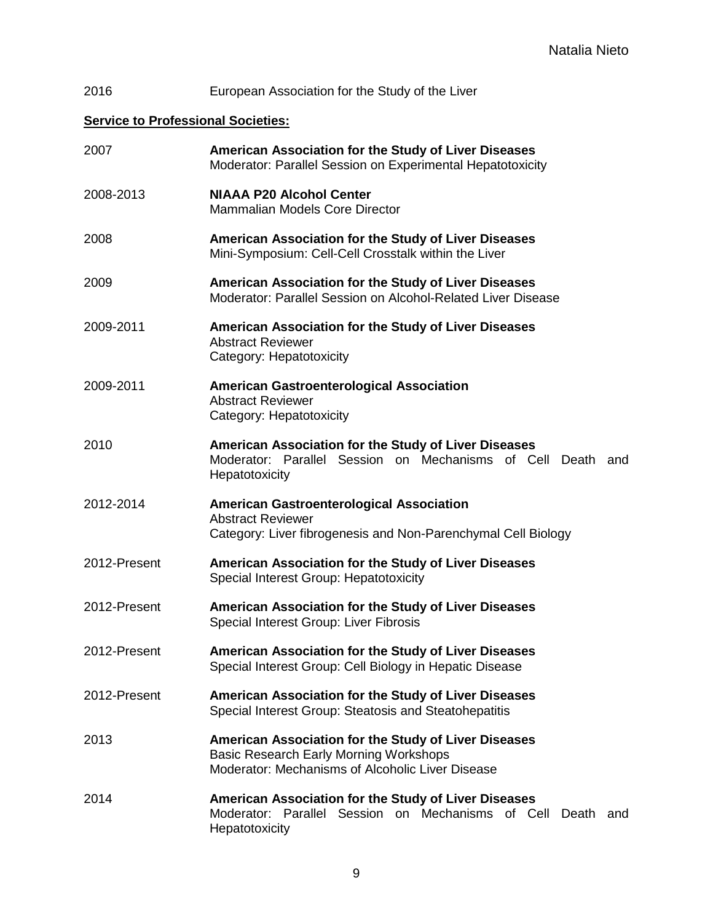# 2016 European Association for the Study of the Liver

# **Service to Professional Societies:**

| 2007         | American Association for the Study of Liver Diseases<br>Moderator: Parallel Session on Experimental Hepatotoxicity                                        |
|--------------|-----------------------------------------------------------------------------------------------------------------------------------------------------------|
| 2008-2013    | <b>NIAAA P20 Alcohol Center</b><br>Mammalian Models Core Director                                                                                         |
| 2008         | American Association for the Study of Liver Diseases<br>Mini-Symposium: Cell-Cell Crosstalk within the Liver                                              |
| 2009         | American Association for the Study of Liver Diseases<br>Moderator: Parallel Session on Alcohol-Related Liver Disease                                      |
| 2009-2011    | American Association for the Study of Liver Diseases<br><b>Abstract Reviewer</b><br>Category: Hepatotoxicity                                              |
| 2009-2011    | <b>American Gastroenterological Association</b><br><b>Abstract Reviewer</b><br>Category: Hepatotoxicity                                                   |
| 2010         | American Association for the Study of Liver Diseases<br>Moderator: Parallel Session on Mechanisms of Cell Death and<br>Hepatotoxicity                     |
| 2012-2014    | <b>American Gastroenterological Association</b><br><b>Abstract Reviewer</b><br>Category: Liver fibrogenesis and Non-Parenchymal Cell Biology              |
| 2012-Present | American Association for the Study of Liver Diseases<br>Special Interest Group: Hepatotoxicity                                                            |
| 2012-Present | American Association for the Study of Liver Diseases<br>Special Interest Group: Liver Fibrosis                                                            |
| 2012-Present | American Association for the Study of Liver Diseases<br>Special Interest Group: Cell Biology in Hepatic Disease                                           |
| 2012-Present | American Association for the Study of Liver Diseases<br>Special Interest Group: Steatosis and Steatohepatitis                                             |
| 2013         | American Association for the Study of Liver Diseases<br><b>Basic Research Early Morning Workshops</b><br>Moderator: Mechanisms of Alcoholic Liver Disease |
| 2014         | American Association for the Study of Liver Diseases<br>Moderator: Parallel Session on Mechanisms of Cell<br>Death and<br>Hepatotoxicity                  |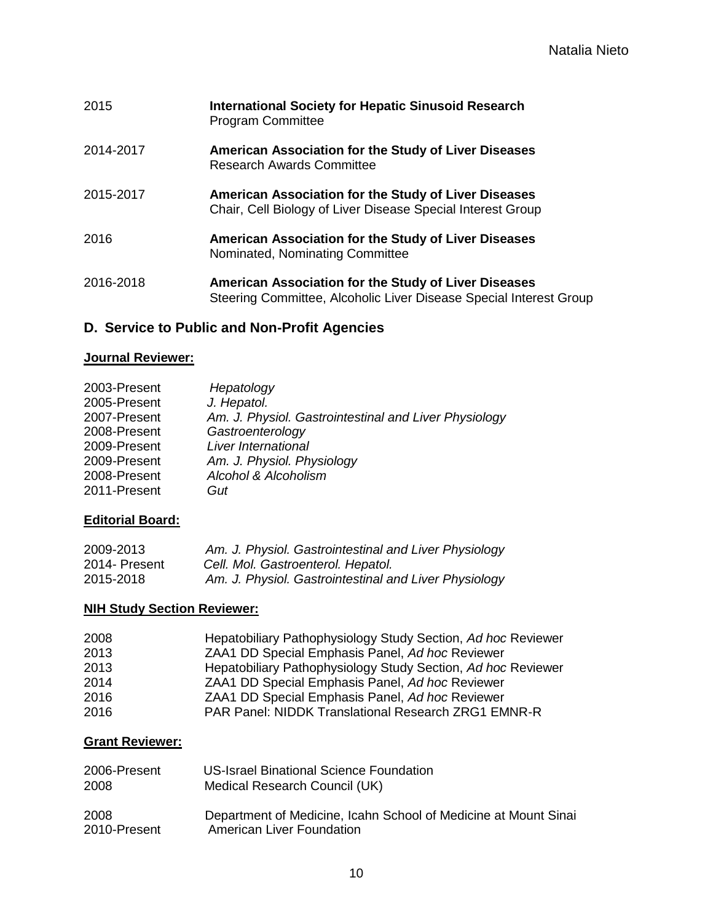| 2015      | <b>International Society for Hepatic Sinusoid Research</b><br><b>Program Committee</b>                                     |
|-----------|----------------------------------------------------------------------------------------------------------------------------|
| 2014-2017 | American Association for the Study of Liver Diseases<br><b>Research Awards Committee</b>                                   |
| 2015-2017 | American Association for the Study of Liver Diseases<br>Chair, Cell Biology of Liver Disease Special Interest Group        |
| 2016      | American Association for the Study of Liver Diseases<br>Nominated, Nominating Committee                                    |
| 2016-2018 | American Association for the Study of Liver Diseases<br>Steering Committee, Alcoholic Liver Disease Special Interest Group |

# **D. Service to Public and Non-Profit Agencies**

#### **Journal Reviewer:**

| Hepatology                                            |
|-------------------------------------------------------|
| J. Hepatol.                                           |
| Am. J. Physiol. Gastrointestinal and Liver Physiology |
| Gastroenterology                                      |
| Liver International                                   |
| Am. J. Physiol. Physiology                            |
| Alcohol & Alcoholism                                  |
| Gut                                                   |
|                                                       |

## **Editorial Board:**

| 2009-2013     | Am. J. Physiol. Gastrointestinal and Liver Physiology |
|---------------|-------------------------------------------------------|
| 2014- Present | Cell. Mol. Gastroenterol. Hepatol.                    |
| 2015-2018     | Am. J. Physiol. Gastrointestinal and Liver Physiology |

## **NIH Study Section Reviewer:**

| 2008 | Hepatobiliary Pathophysiology Study Section, Ad hoc Reviewer |
|------|--------------------------------------------------------------|
| 2013 | ZAA1 DD Special Emphasis Panel, Ad hoc Reviewer              |
| 2013 | Hepatobiliary Pathophysiology Study Section, Ad hoc Reviewer |
| 2014 | ZAA1 DD Special Emphasis Panel, Ad hoc Reviewer              |
| 2016 | ZAA1 DD Special Emphasis Panel, Ad hoc Reviewer              |
| 2016 | PAR Panel: NIDDK Translational Research ZRG1 EMNR-R          |

# **Grant Reviewer:**

| 2006-Present | <b>US-Israel Binational Science Foundation</b>                  |
|--------------|-----------------------------------------------------------------|
| 2008         | Medical Research Council (UK)                                   |
| 2008         | Department of Medicine, Icahn School of Medicine at Mount Sinai |
| 2010-Present | American Liver Foundation                                       |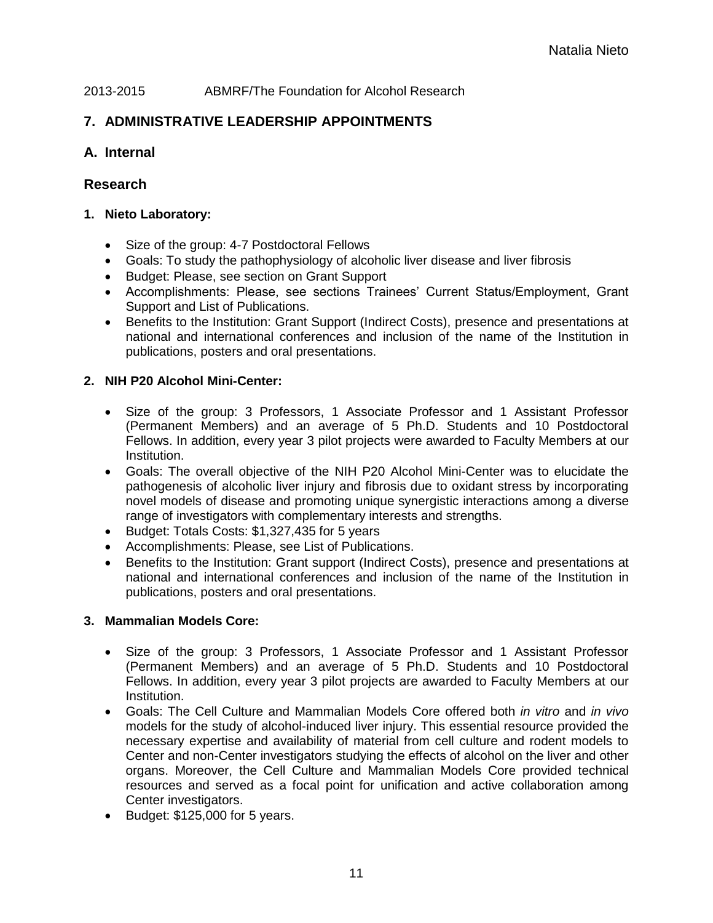#### 2013-2015 ABMRF/The Foundation for Alcohol Research

# **7. ADMINISTRATIVE LEADERSHIP APPOINTMENTS**

## **A. Internal**

## **Research**

#### **1. Nieto Laboratory:**

- Size of the group: 4-7 Postdoctoral Fellows
- Goals: To study the pathophysiology of alcoholic liver disease and liver fibrosis
- Budget: Please, see section on Grant Support
- Accomplishments: Please, see sections Trainees' Current Status/Employment, Grant Support and List of Publications.
- Benefits to the Institution: Grant Support (Indirect Costs), presence and presentations at national and international conferences and inclusion of the name of the Institution in publications, posters and oral presentations.

## **2. NIH P20 Alcohol Mini-Center:**

- Size of the group: 3 Professors, 1 Associate Professor and 1 Assistant Professor (Permanent Members) and an average of 5 Ph.D. Students and 10 Postdoctoral Fellows. In addition, every year 3 pilot projects were awarded to Faculty Members at our Institution.
- Goals: The overall objective of the NIH P20 Alcohol Mini-Center was to elucidate the pathogenesis of alcoholic liver injury and fibrosis due to oxidant stress by incorporating novel models of disease and promoting unique synergistic interactions among a diverse range of investigators with complementary interests and strengths.
- Budget: Totals Costs: \$1,327,435 for 5 years
- Accomplishments: Please, see List of Publications.
- Benefits to the Institution: Grant support (Indirect Costs), presence and presentations at national and international conferences and inclusion of the name of the Institution in publications, posters and oral presentations.

## **3. Mammalian Models Core:**

- Size of the group: 3 Professors, 1 Associate Professor and 1 Assistant Professor (Permanent Members) and an average of 5 Ph.D. Students and 10 Postdoctoral Fellows. In addition, every year 3 pilot projects are awarded to Faculty Members at our Institution.
- Goals: The Cell Culture and Mammalian Models Core offered both *in vitro* and *in vivo* models for the study of alcohol-induced liver injury. This essential resource provided the necessary expertise and availability of material from cell culture and rodent models to Center and non-Center investigators studying the effects of alcohol on the liver and other organs. Moreover, the Cell Culture and Mammalian Models Core provided technical resources and served as a focal point for unification and active collaboration among Center investigators.
- Budget: \$125,000 for 5 years.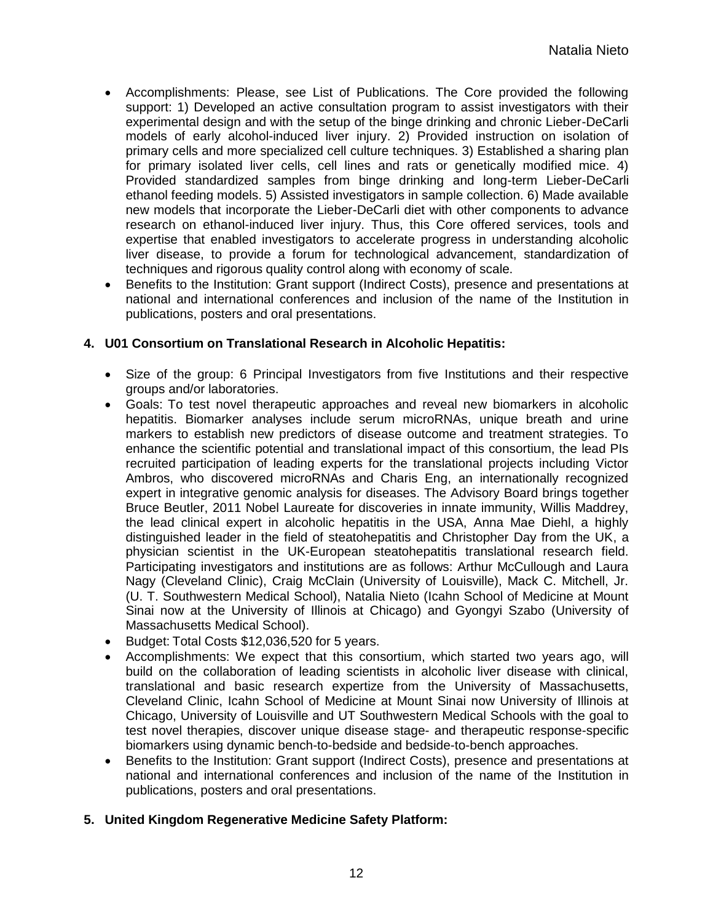- Accomplishments: Please, see List of Publications. The Core provided the following support: 1) Developed an active consultation program to assist investigators with their experimental design and with the setup of the binge drinking and chronic Lieber-DeCarli models of early alcohol-induced liver injury. 2) Provided instruction on isolation of primary cells and more specialized cell culture techniques. 3) Established a sharing plan for primary isolated liver cells, cell lines and rats or genetically modified mice. 4) Provided standardized samples from binge drinking and long-term Lieber-DeCarli ethanol feeding models. 5) Assisted investigators in sample collection. 6) Made available new models that incorporate the Lieber-DeCarli diet with other components to advance research on ethanol-induced liver injury. Thus, this Core offered services, tools and expertise that enabled investigators to accelerate progress in understanding alcoholic liver disease, to provide a forum for technological advancement, standardization of techniques and rigorous quality control along with economy of scale.
- Benefits to the Institution: Grant support (Indirect Costs), presence and presentations at national and international conferences and inclusion of the name of the Institution in publications, posters and oral presentations.

## **4. U01 Consortium on Translational Research in Alcoholic Hepatitis:**

- Size of the group: 6 Principal Investigators from five Institutions and their respective groups and/or laboratories.
- Goals: To test novel therapeutic approaches and reveal new biomarkers in alcoholic hepatitis. Biomarker analyses include serum microRNAs, unique breath and urine markers to establish new predictors of disease outcome and treatment strategies. To enhance the scientific potential and translational impact of this consortium, the lead PIs recruited participation of leading experts for the translational projects including Victor Ambros, who discovered microRNAs and Charis Eng, an internationally recognized expert in integrative genomic analysis for diseases. The Advisory Board brings together Bruce Beutler, 2011 Nobel Laureate for discoveries in innate immunity, Willis Maddrey, the lead clinical expert in alcoholic hepatitis in the USA, Anna Mae Diehl, a highly distinguished leader in the field of steatohepatitis and Christopher Day from the UK, a physician scientist in the UK-European steatohepatitis translational research field. Participating investigators and institutions are as follows: Arthur McCullough and Laura Nagy (Cleveland Clinic), Craig McClain (University of Louisville), Mack C. Mitchell, Jr. (U. T. Southwestern Medical School), Natalia Nieto (Icahn School of Medicine at Mount Sinai now at the University of Illinois at Chicago) and Gyongyi Szabo (University of Massachusetts Medical School).
- Budget: Total Costs \$12,036,520 for 5 years.
- Accomplishments: We expect that this consortium, which started two years ago, will build on the collaboration of leading scientists in alcoholic liver disease with clinical, translational and basic research expertize from the University of Massachusetts, Cleveland Clinic, Icahn School of Medicine at Mount Sinai now University of Illinois at Chicago, University of Louisville and UT Southwestern Medical Schools with the goal to test novel therapies, discover unique disease stage- and therapeutic response-specific biomarkers using dynamic bench-to-bedside and bedside-to-bench approaches.
- Benefits to the Institution: Grant support (Indirect Costs), presence and presentations at national and international conferences and inclusion of the name of the Institution in publications, posters and oral presentations.

## **5. United Kingdom Regenerative Medicine Safety Platform:**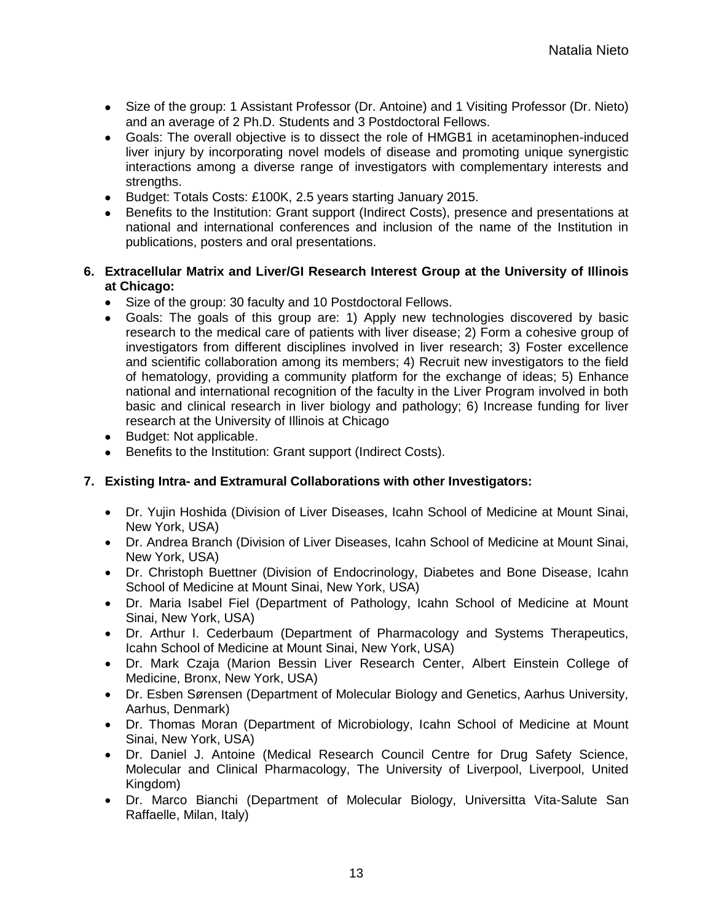- Size of the group: 1 Assistant Professor (Dr. Antoine) and 1 Visiting Professor (Dr. Nieto) and an average of 2 Ph.D. Students and 3 Postdoctoral Fellows.
- Goals: The overall objective is to dissect the role of HMGB1 in acetaminophen-induced liver injury by incorporating novel models of disease and promoting unique synergistic interactions among a diverse range of investigators with complementary interests and strengths.
- Budget: Totals Costs: £100K, 2.5 years starting January 2015.
- Benefits to the Institution: Grant support (Indirect Costs), presence and presentations at national and international conferences and inclusion of the name of the Institution in publications, posters and oral presentations.

#### **6. Extracellular Matrix and Liver/GI Research Interest Group at the University of Illinois at Chicago:**

- Size of the group: 30 faculty and 10 Postdoctoral Fellows.
- Goals: The goals of this group are: 1) Apply new technologies discovered by basic research to the medical care of patients with liver disease; 2) Form a cohesive group of investigators from different disciplines involved in liver research; 3) Foster excellence and scientific collaboration among its members; 4) Recruit new investigators to the field of hematology, providing a community platform for the exchange of ideas; 5) Enhance national and international recognition of the faculty in the Liver Program involved in both basic and clinical research in liver biology and pathology; 6) Increase funding for liver research at the University of Illinois at Chicago
- Budget: Not applicable.
- Benefits to the Institution: Grant support (Indirect Costs).

#### **7. Existing Intra- and Extramural Collaborations with other Investigators:**

- Dr. Yujin Hoshida (Division of Liver Diseases, Icahn School of Medicine at Mount Sinai, New York, USA)
- Dr. Andrea Branch (Division of Liver Diseases, Icahn School of Medicine at Mount Sinai, New York, USA)
- Dr. Christoph Buettner (Division of Endocrinology, Diabetes and Bone Disease, Icahn School of Medicine at Mount Sinai, New York, USA)
- Dr. Maria Isabel Fiel (Department of Pathology, Icahn School of Medicine at Mount Sinai, New York, USA)
- Dr. Arthur I. Cederbaum (Department of Pharmacology and Systems Therapeutics, Icahn School of Medicine at Mount Sinai, New York, USA)
- Dr. Mark Czaja (Marion Bessin Liver Research Center, Albert Einstein College of Medicine, Bronx, New York, USA)
- Dr. Esben Sørensen (Department of Molecular Biology and Genetics, Aarhus University, Aarhus, Denmark)
- Dr. Thomas Moran (Department of Microbiology, Icahn School of Medicine at Mount Sinai, New York, USA)
- Dr. Daniel J. Antoine (Medical Research Council Centre for Drug Safety Science, Molecular and Clinical Pharmacology, The University of Liverpool, Liverpool, United Kingdom)
- Dr. Marco Bianchi (Department of Molecular Biology, Universitta Vita-Salute San Raffaelle, Milan, Italy)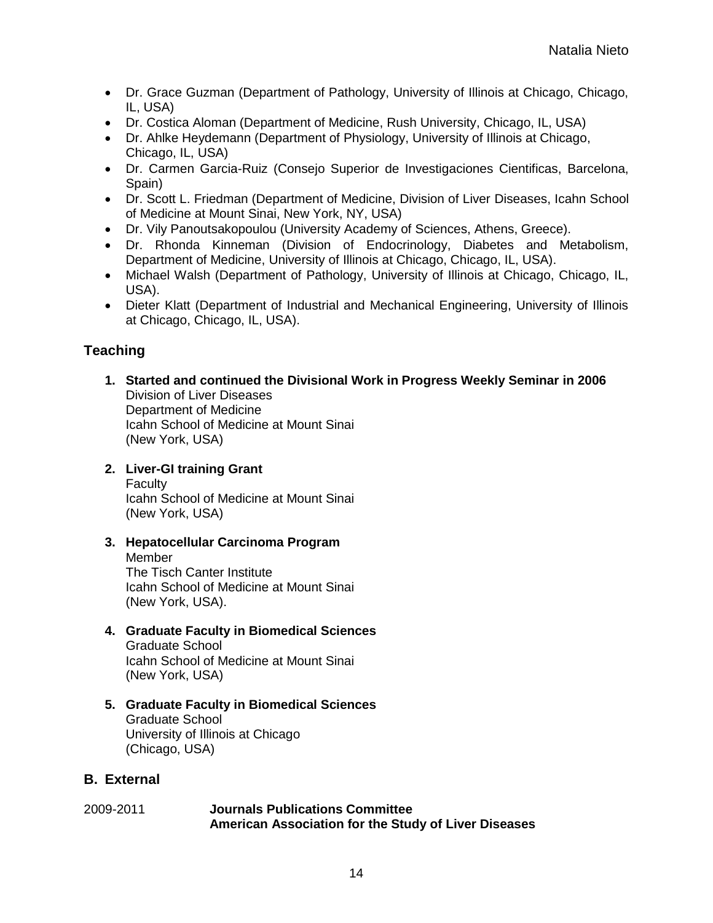- Dr. Grace Guzman (Department of Pathology, University of Illinois at Chicago, Chicago, IL, USA)
- Dr. Costica Aloman (Department of Medicine, Rush University, Chicago, IL, USA)
- Dr. Ahlke Heydemann (Department of Physiology, University of Illinois at Chicago, Chicago, IL, USA)
- Dr. Carmen Garcia-Ruiz (Consejo Superior de Investigaciones Cientificas, Barcelona, Spain)
- Dr. Scott L. Friedman (Department of Medicine, Division of Liver Diseases, Icahn School of Medicine at Mount Sinai, New York, NY, USA)
- Dr. Vily Panoutsakopoulou (University Academy of Sciences, Athens, Greece).
- Dr. Rhonda Kinneman (Division of Endocrinology, Diabetes and Metabolism, Department of Medicine, University of Illinois at Chicago, Chicago, IL, USA).
- Michael Walsh (Department of Pathology, University of Illinois at Chicago, Chicago, IL, USA).
- Dieter Klatt (Department of Industrial and Mechanical Engineering, University of Illinois at Chicago, Chicago, IL, USA).

## **Teaching**

**1. Started and continued the Divisional Work in Progress Weekly Seminar in 2006** Division of Liver Diseases Department of Medicine Icahn School of Medicine at Mount Sinai (New York, USA)

## **2. Liver-GI training Grant**

Faculty Icahn School of Medicine at Mount Sinai (New York, USA)

**3. Hepatocellular Carcinoma Program**

Member The Tisch Canter Institute Icahn School of Medicine at Mount Sinai (New York, USA).

**4. Graduate Faculty in Biomedical Sciences** Graduate School Icahn School of Medicine at Mount Sinai

(New York, USA)

**5. Graduate Faculty in Biomedical Sciences** Graduate School University of Illinois at Chicago (Chicago, USA)

# **B. External**

#### 2009-2011 **Journals Publications Committee American Association for the Study of Liver Diseases**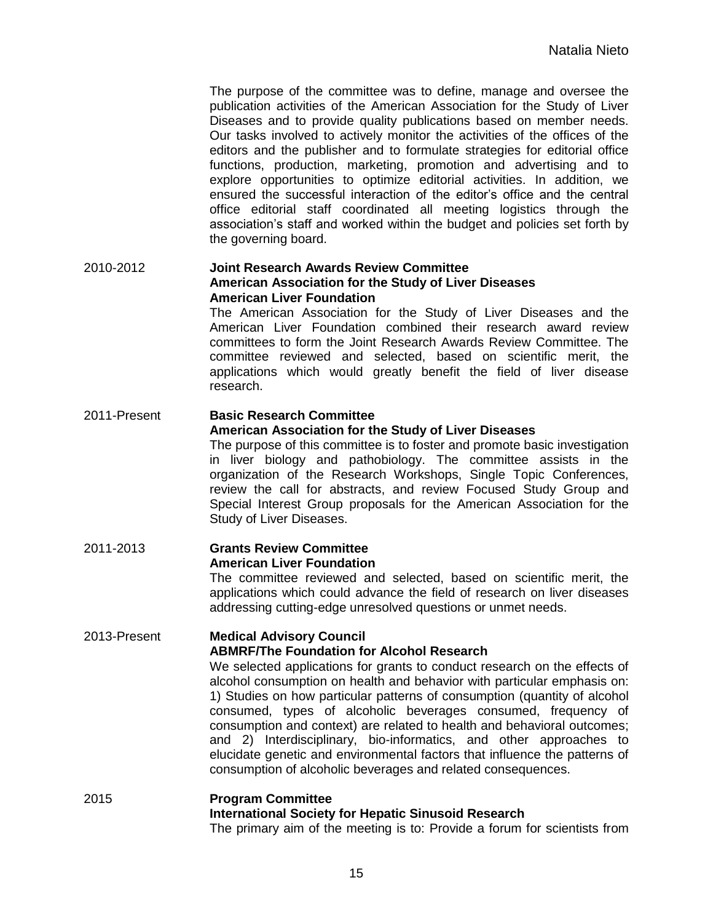The purpose of the committee was to define, manage and oversee the publication activities of the American Association for the Study of Liver Diseases and to provide quality publications based on member needs. Our tasks involved to actively monitor the activities of the offices of the editors and the publisher and to formulate strategies for editorial office functions, production, marketing, promotion and advertising and to explore opportunities to optimize editorial activities. In addition, we ensured the successful interaction of the editor's office and the central office editorial staff coordinated all meeting logistics through the association's staff and worked within the budget and policies set forth by the governing board.

#### 2010-2012 **Joint Research Awards Review Committee American Association for the Study of Liver Diseases American Liver Foundation**

The American Association for the Study of Liver Diseases and the American Liver Foundation combined their research award review committees to form the Joint Research Awards Review Committee. The committee reviewed and selected, based on scientific merit, the applications which would greatly benefit the field of liver disease research.

#### 2011-Present **Basic Research Committee American Association for the Study of Liver Diseases**

The purpose of this committee is to foster and promote basic investigation in liver biology and pathobiology. The committee assists in the organization of the Research Workshops, Single Topic Conferences, review the call for abstracts, and review Focused Study Group and Special Interest Group proposals for the American Association for the Study of Liver Diseases.

#### 2011-2013 **Grants Review Committee American Liver Foundation**

The committee reviewed and selected, based on scientific merit, the applications which could advance the field of research on liver diseases addressing cutting-edge unresolved questions or unmet needs.

#### 2013-Present **Medical Advisory Council ABMRF/The Foundation for Alcohol Research**

We selected applications for grants to conduct research on the effects of alcohol consumption on health and behavior with particular emphasis on: 1) Studies on how particular patterns of consumption (quantity of alcohol consumed, types of alcoholic beverages consumed, frequency of consumption and context) are related to health and behavioral outcomes; and 2) Interdisciplinary, bio-informatics, and other approaches to elucidate genetic and environmental factors that influence the patterns of consumption of alcoholic beverages and related consequences.

#### 2015 **Program Committee International Society for Hepatic Sinusoid Research** The primary aim of the meeting is to: Provide a forum for scientists from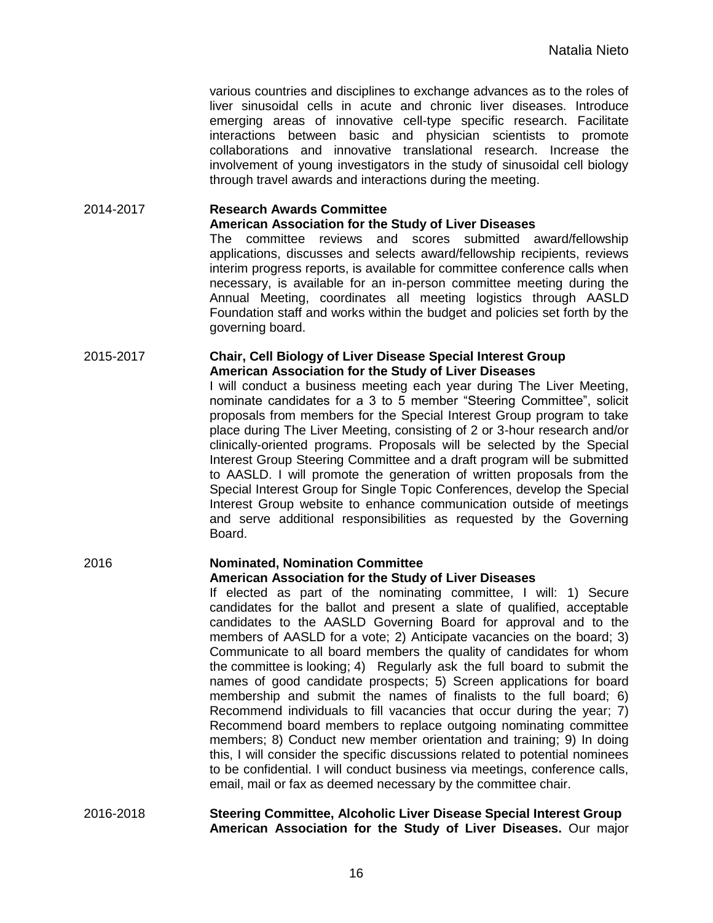various countries and disciplines to exchange advances as to the roles of liver sinusoidal cells in acute and chronic liver diseases. Introduce emerging areas of innovative cell-type specific research. Facilitate interactions between basic and physician scientists to promote collaborations and innovative translational research. Increase the involvement of young investigators in the study of sinusoidal cell biology through travel awards and interactions during the meeting.

#### 2014-2017 **Research Awards Committee American Association for the Study of Liver Diseases**

The committee reviews and scores submitted award/fellowship applications, discusses and selects award/fellowship recipients, reviews interim progress reports, is available for committee conference calls when necessary, is available for an in-person committee meeting during the Annual Meeting, coordinates all meeting logistics through AASLD Foundation staff and works within the budget and policies set forth by the governing board.

#### 2015-2017 **Chair, Cell Biology of Liver Disease Special Interest Group American Association for the Study of Liver Diseases**

I will conduct a business meeting each year during The Liver Meeting, nominate candidates for a 3 to 5 member "Steering Committee", solicit proposals from members for the Special Interest Group program to take place during The Liver Meeting, consisting of 2 or 3-hour research and/or clinically-oriented programs. Proposals will be selected by the Special Interest Group Steering Committee and a draft program will be submitted to AASLD. I will promote the generation of written proposals from the Special Interest Group for Single Topic Conferences, develop the Special Interest Group website to enhance communication outside of meetings and serve additional responsibilities as requested by the Governing Board.

#### 2016 **Nominated, Nomination Committee American Association for the Study of Liver Diseases**

If elected as part of the nominating committee, I will: 1) Secure candidates for the ballot and present a slate of qualified, acceptable candidates to the AASLD Governing Board for approval and to the members of AASLD for a vote; 2) Anticipate vacancies on the board; 3) Communicate to all board members the quality of candidates for whom the committee is looking; 4) Regularly ask the full board to submit the names of good candidate prospects; 5) Screen applications for board membership and submit the names of finalists to the full board; 6) Recommend individuals to fill vacancies that occur during the year; 7) Recommend board members to replace outgoing nominating committee members; 8) Conduct new member orientation and training; 9) In doing this, I will consider the specific discussions related to potential nominees to be confidential. I will conduct business via meetings, conference calls, email, mail or fax as deemed necessary by the committee chair.

#### 2016-2018 **Steering Committee, Alcoholic Liver Disease Special Interest Group American Association for the Study of Liver Diseases.** Our major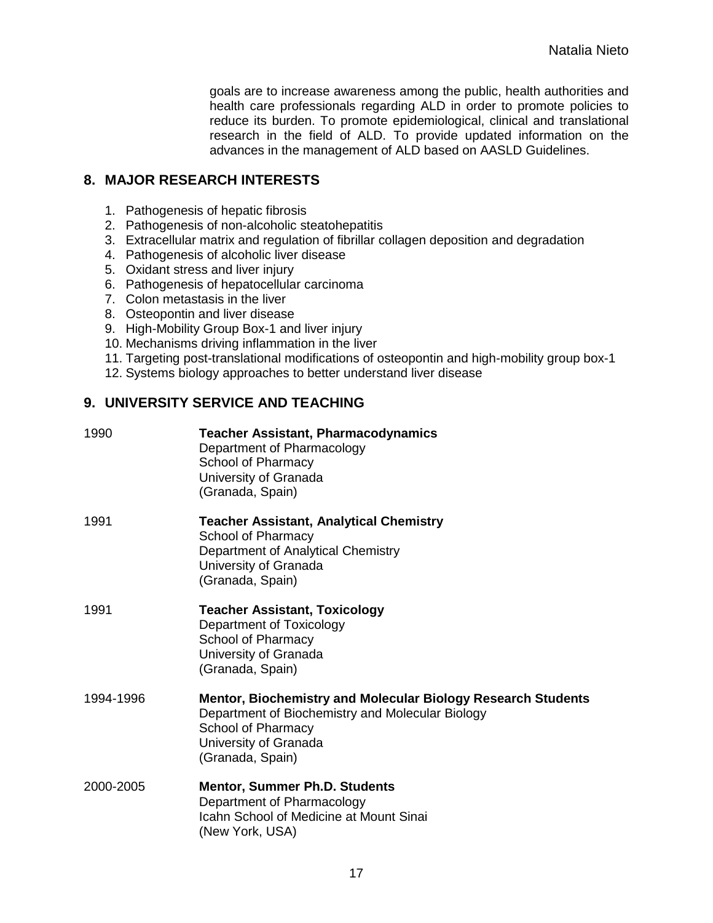goals are to increase awareness among the public, health authorities and health care professionals regarding ALD in order to promote policies to reduce its burden. To promote epidemiological, clinical and translational research in the field of ALD. To provide updated information on the advances in the management of ALD based on AASLD Guidelines.

## **8. MAJOR RESEARCH INTERESTS**

- 1. Pathogenesis of hepatic fibrosis
- 2. Pathogenesis of non-alcoholic steatohepatitis
- 3. Extracellular matrix and regulation of fibrillar collagen deposition and degradation
- 4. Pathogenesis of alcoholic liver disease
- 5. Oxidant stress and liver injury
- 6. Pathogenesis of hepatocellular carcinoma
- 7. Colon metastasis in the liver
- 8. Osteopontin and liver disease
- 9. High-Mobility Group Box-1 and liver injury
- 10. Mechanisms driving inflammation in the liver
- 11. Targeting post-translational modifications of osteopontin and high-mobility group box-1
- 12. Systems biology approaches to better understand liver disease

## **9. UNIVERSITY SERVICE AND TEACHING**

| 1990      | <b>Teacher Assistant, Pharmacodynamics</b><br>Department of Pharmacology<br>School of Pharmacy<br>University of Granada<br>(Granada, Spain)                                                |
|-----------|--------------------------------------------------------------------------------------------------------------------------------------------------------------------------------------------|
| 1991      | <b>Teacher Assistant, Analytical Chemistry</b><br>School of Pharmacy<br>Department of Analytical Chemistry<br>University of Granada<br>(Granada, Spain)                                    |
| 1991      | <b>Teacher Assistant, Toxicology</b><br>Department of Toxicology<br>School of Pharmacy<br>University of Granada<br>(Granada, Spain)                                                        |
| 1994-1996 | <b>Mentor, Biochemistry and Molecular Biology Research Students</b><br>Department of Biochemistry and Molecular Biology<br>School of Pharmacy<br>University of Granada<br>(Granada, Spain) |
| 2000-2005 | <b>Mentor, Summer Ph.D. Students</b><br>Department of Pharmacology<br>Icahn School of Medicine at Mount Sinai<br>(New York, USA)                                                           |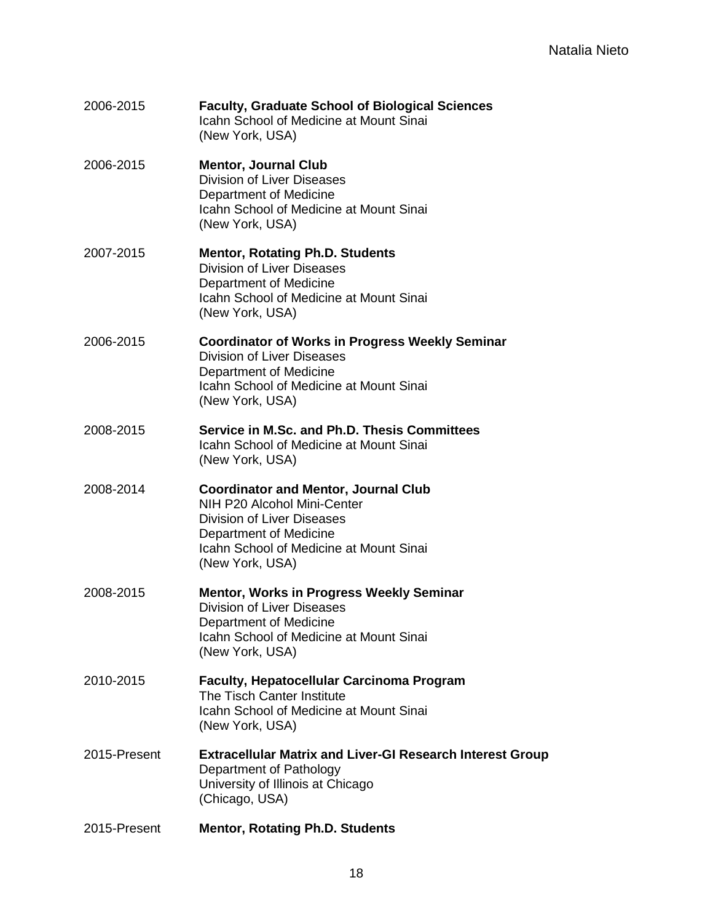| 2006-2015    | <b>Faculty, Graduate School of Biological Sciences</b><br>Icahn School of Medicine at Mount Sinai<br>(New York, USA)                                                                             |
|--------------|--------------------------------------------------------------------------------------------------------------------------------------------------------------------------------------------------|
| 2006-2015    | <b>Mentor, Journal Club</b><br><b>Division of Liver Diseases</b><br>Department of Medicine<br><b>Icahn School of Medicine at Mount Sinai</b><br>(New York, USA)                                  |
| 2007-2015    | <b>Mentor, Rotating Ph.D. Students</b><br><b>Division of Liver Diseases</b><br>Department of Medicine<br>Icahn School of Medicine at Mount Sinai<br>(New York, USA)                              |
| 2006-2015    | <b>Coordinator of Works in Progress Weekly Seminar</b><br>Division of Liver Diseases<br>Department of Medicine<br>Icahn School of Medicine at Mount Sinai<br>(New York, USA)                     |
| 2008-2015    | Service in M.Sc. and Ph.D. Thesis Committees<br><b>Icahn School of Medicine at Mount Sinai</b><br>(New York, USA)                                                                                |
| 2008-2014    | <b>Coordinator and Mentor, Journal Club</b><br>NIH P20 Alcohol Mini-Center<br>Division of Liver Diseases<br>Department of Medicine<br>Icahn School of Medicine at Mount Sinai<br>(New York, USA) |
| 2008-2015    | <b>Mentor, Works in Progress Weekly Seminar</b><br><b>Division of Liver Diseases</b><br>Department of Medicine<br><b>Icahn School of Medicine at Mount Sinai</b><br>(New York, USA)              |
| 2010-2015    | <b>Faculty, Hepatocellular Carcinoma Program</b><br>The Tisch Canter Institute<br>Icahn School of Medicine at Mount Sinai<br>(New York, USA)                                                     |
| 2015-Present | <b>Extracellular Matrix and Liver-GI Research Interest Group</b><br>Department of Pathology<br>University of Illinois at Chicago<br>(Chicago, USA)                                               |
| 2015-Present | <b>Mentor, Rotating Ph.D. Students</b>                                                                                                                                                           |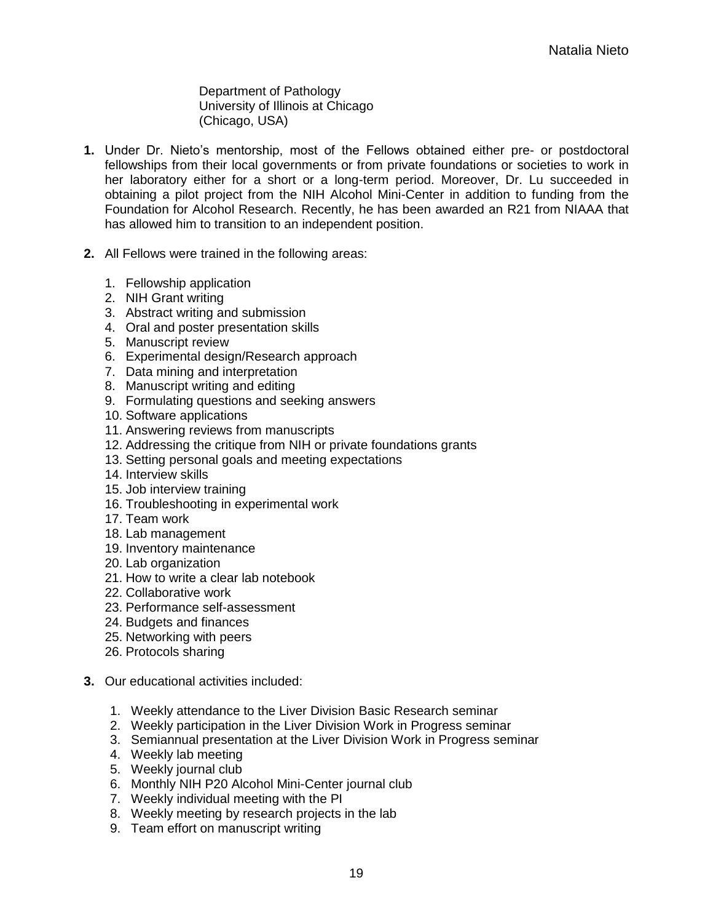Department of Pathology University of Illinois at Chicago (Chicago, USA)

- **1.** Under Dr. Nieto's mentorship, most of the Fellows obtained either pre- or postdoctoral fellowships from their local governments or from private foundations or societies to work in her laboratory either for a short or a long-term period. Moreover, Dr. Lu succeeded in obtaining a pilot project from the NIH Alcohol Mini-Center in addition to funding from the Foundation for Alcohol Research. Recently, he has been awarded an R21 from NIAAA that has allowed him to transition to an independent position.
- **2.** All Fellows were trained in the following areas:
	- 1. Fellowship application
	- 2. NIH Grant writing
	- 3. Abstract writing and submission
	- 4. Oral and poster presentation skills
	- 5. Manuscript review
	- 6. Experimental design/Research approach
	- 7. Data mining and interpretation
	- 8. Manuscript writing and editing
	- 9. Formulating questions and seeking answers
	- 10. Software applications
	- 11. Answering reviews from manuscripts
	- 12. Addressing the critique from NIH or private foundations grants
	- 13. Setting personal goals and meeting expectations
	- 14. Interview skills
	- 15. Job interview training
	- 16. Troubleshooting in experimental work
	- 17. Team work
	- 18. Lab management
	- 19. Inventory maintenance
	- 20. Lab organization
	- 21. How to write a clear lab notebook
	- 22. Collaborative work
	- 23. Performance self-assessment
	- 24. Budgets and finances
	- 25. Networking with peers
	- 26. Protocols sharing
- **3.** Our educational activities included:
	- 1. Weekly attendance to the Liver Division Basic Research seminar
	- 2. Weekly participation in the Liver Division Work in Progress seminar
	- 3. Semiannual presentation at the Liver Division Work in Progress seminar
	- 4. Weekly lab meeting
	- 5. Weekly journal club
	- 6. Monthly NIH P20 Alcohol Mini-Center journal club
	- 7. Weekly individual meeting with the PI
	- 8. Weekly meeting by research projects in the lab
	- 9. Team effort on manuscript writing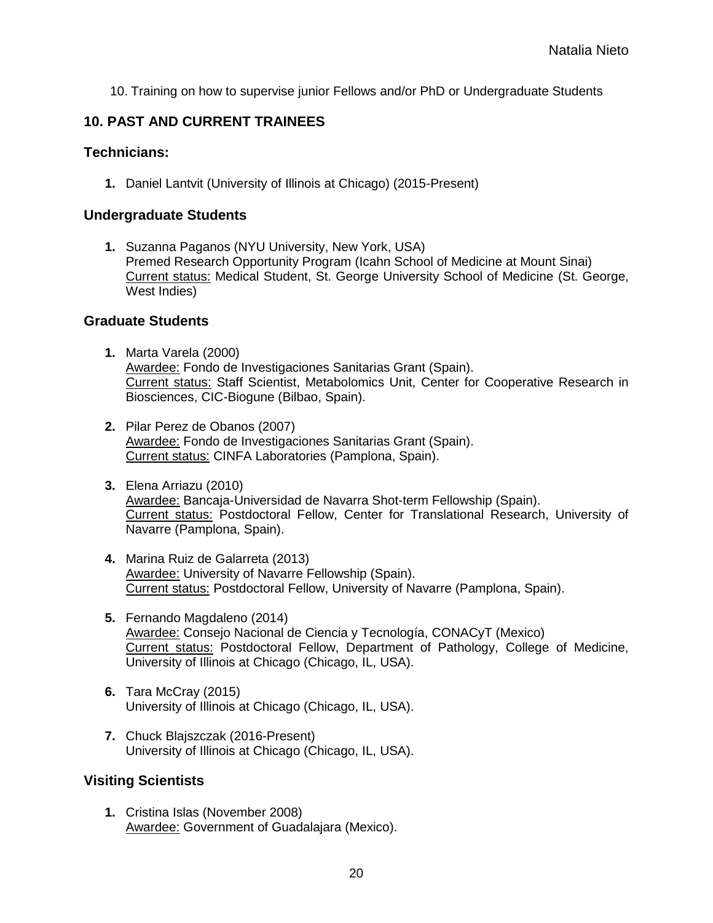10. Training on how to supervise junior Fellows and/or PhD or Undergraduate Students

## **10. PAST AND CURRENT TRAINEES**

#### **Technicians:**

**1.** Daniel Lantvit (University of Illinois at Chicago) (2015-Present)

#### **Undergraduate Students**

**1.** Suzanna Paganos (NYU University, New York, USA) Premed Research Opportunity Program (Icahn School of Medicine at Mount Sinai) Current status: Medical Student, St. George University School of Medicine (St. George, West Indies)

#### **Graduate Students**

- **1.** Marta Varela (2000) Awardee: Fondo de Investigaciones Sanitarias Grant (Spain). Current status: Staff Scientist, Metabolomics Unit, Center for Cooperative Research in Biosciences, CIC-Biogune (Bilbao, Spain).
- **2.** Pilar Perez de Obanos (2007) Awardee: Fondo de Investigaciones Sanitarias Grant (Spain). Current status: CINFA Laboratories (Pamplona, Spain).
- **3.** Elena Arriazu (2010) Awardee: Bancaja-Universidad de Navarra Shot-term Fellowship (Spain). Current status: Postdoctoral Fellow, Center for Translational Research, University of Navarre (Pamplona, Spain).
- **4.** Marina Ruiz de Galarreta (2013) Awardee: University of Navarre Fellowship (Spain). Current status: Postdoctoral Fellow, University of Navarre (Pamplona, Spain).
- **5.** Fernando Magdaleno (2014) Awardee: Consejo Nacional de Ciencia y Tecnología, CONACyT (Mexico) Current status: Postdoctoral Fellow, Department of Pathology, College of Medicine, University of Illinois at Chicago (Chicago, IL, USA).
- **6.** Tara McCray (2015) University of Illinois at Chicago (Chicago, IL, USA).
- **7.** Chuck Blajszczak (2016-Present) University of Illinois at Chicago (Chicago, IL, USA).

## **Visiting Scientists**

**1.** Cristina Islas (November 2008) Awardee: Government of Guadalajara (Mexico).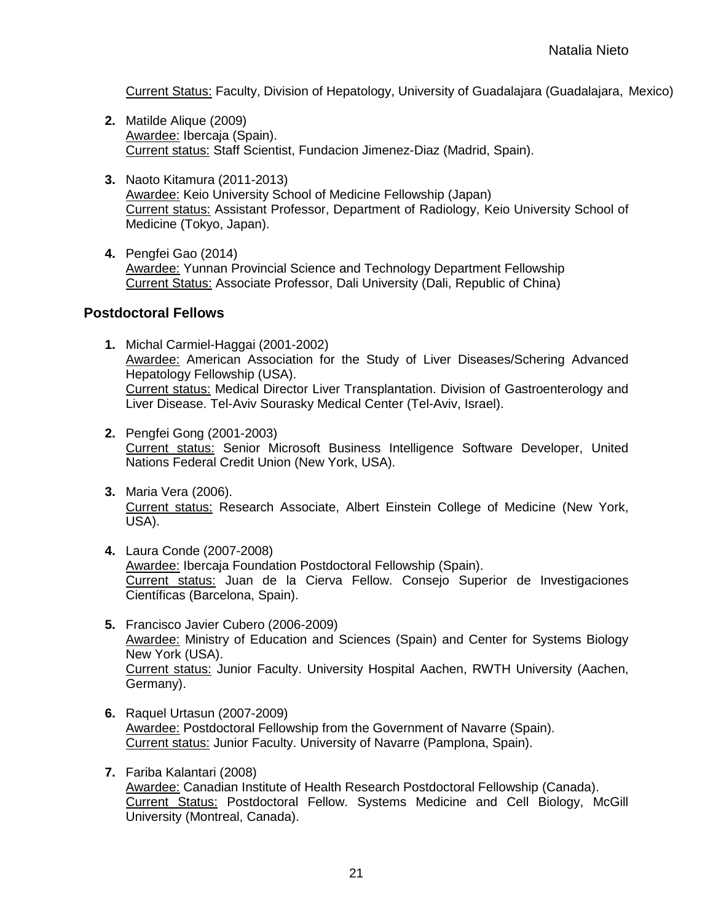Current Status: Faculty, Division of Hepatology, University of Guadalajara (Guadalajara, Mexico)

- **2.** Matilde Alique (2009) Awardee: Ibercaja (Spain). Current status: Staff Scientist, Fundacion Jimenez-Diaz (Madrid, Spain).
- **3.** Naoto Kitamura (2011-2013) Awardee: Keio University School of Medicine Fellowship (Japan) Current status: Assistant Professor, Department of Radiology, Keio University School of Medicine (Tokyo, Japan).
- **4.** Pengfei Gao (2014) Awardee: Yunnan Provincial Science and Technology Department Fellowship Current Status: Associate Professor, Dali University (Dali, Republic of China)

#### **Postdoctoral Fellows**

- **1.** Michal Carmiel-Haggai (2001-2002) Awardee: American Association for the Study of Liver Diseases/Schering Advanced Hepatology Fellowship (USA). Current status: Medical Director Liver Transplantation. Division of Gastroenterology and Liver Disease. Tel-Aviv Sourasky Medical Center (Tel-Aviv, Israel).
- **2.** Pengfei Gong (2001-2003) Current status: Senior Microsoft Business Intelligence Software Developer, United Nations Federal Credit Union (New York, USA).
- **3.** Maria Vera (2006). Current status: Research Associate, Albert Einstein College of Medicine (New York, USA).
- **4.** Laura Conde (2007-2008) Awardee: Ibercaja Foundation Postdoctoral Fellowship (Spain). Current status: Juan de la Cierva Fellow. Consejo Superior de Investigaciones Científicas (Barcelona, Spain).
- **5.** Francisco Javier Cubero (2006-2009) Awardee: Ministry of Education and Sciences (Spain) and Center for Systems Biology New York (USA). Current status: Junior Faculty. University Hospital Aachen, RWTH University (Aachen, Germany).
- **6.** Raquel Urtasun (2007-2009) Awardee: Postdoctoral Fellowship from the Government of Navarre (Spain). Current status: Junior Faculty. University of Navarre (Pamplona, Spain).
- **7.** Fariba Kalantari (2008) Awardee: Canadian Institute of Health Research Postdoctoral Fellowship (Canada). Current Status: Postdoctoral Fellow. Systems Medicine and Cell Biology, McGill University (Montreal, Canada).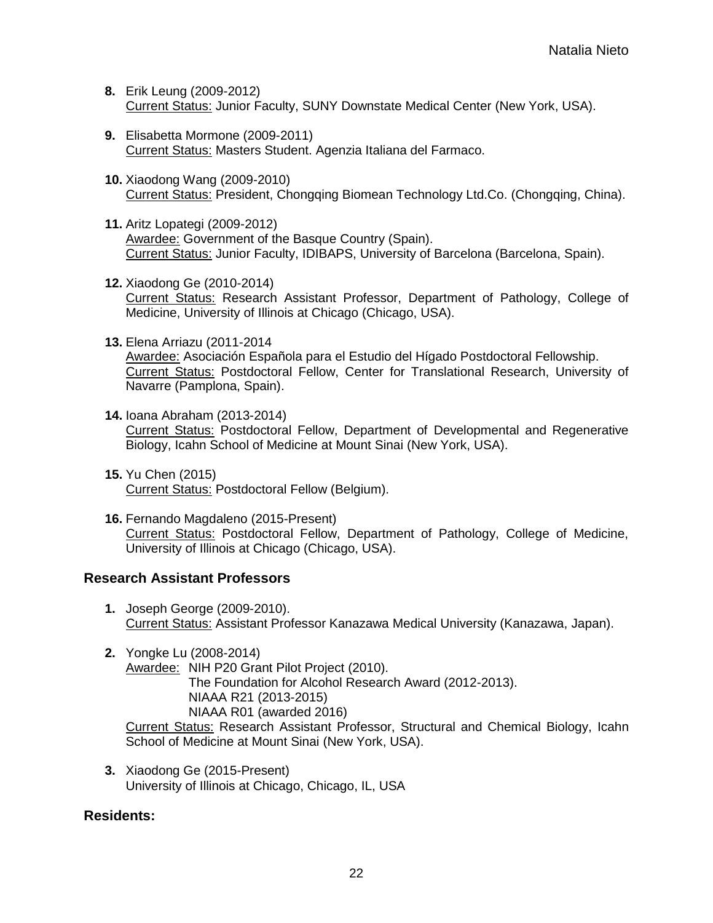- **8.** Erik Leung (2009-2012) Current Status: Junior Faculty, SUNY Downstate Medical Center (New York, USA).
- **9.** Elisabetta Mormone (2009-2011) Current Status: Masters Student. Agenzia Italiana del Farmaco.
- **10.** Xiaodong Wang (2009-2010) Current Status: President, Chongqing Biomean Technology Ltd.Co. (Chongqing, China).
- **11.** Aritz Lopategi (2009-2012) Awardee: Government of the Basque Country (Spain). Current Status: Junior Faculty, IDIBAPS, University of Barcelona (Barcelona, Spain).
- **12.** Xiaodong Ge (2010-2014) Current Status: Research Assistant Professor, Department of Pathology, College of Medicine, University of Illinois at Chicago (Chicago, USA).
- **13.** Elena Arriazu (2011-2014 Awardee: Asociación Española para el Estudio del Hígado Postdoctoral Fellowship. Current Status: Postdoctoral Fellow, Center for Translational Research, University of Navarre (Pamplona, Spain).
- **14.** Ioana Abraham (2013-2014) Current Status: Postdoctoral Fellow, Department of Developmental and Regenerative Biology, Icahn School of Medicine at Mount Sinai (New York, USA).
- **15.** Yu Chen (2015) Current Status: Postdoctoral Fellow (Belgium).
- **16.** Fernando Magdaleno (2015-Present) Current Status: Postdoctoral Fellow, Department of Pathology, College of Medicine, University of Illinois at Chicago (Chicago, USA).

## **Research Assistant Professors**

- **1.** Joseph George (2009-2010). Current Status: Assistant Professor Kanazawa Medical University (Kanazawa, Japan).
- **2.** Yongke Lu (2008-2014) Awardee: NIH P20 Grant Pilot Project (2010). The Foundation for Alcohol Research Award (2012-2013). NIAAA R21 (2013-2015) NIAAA R01 (awarded 2016) Current Status: Research Assistant Professor, Structural and Chemical Biology, Icahn School of Medicine at Mount Sinai (New York, USA).
- **3.** Xiaodong Ge (2015-Present) University of Illinois at Chicago, Chicago, IL, USA

## **Residents:**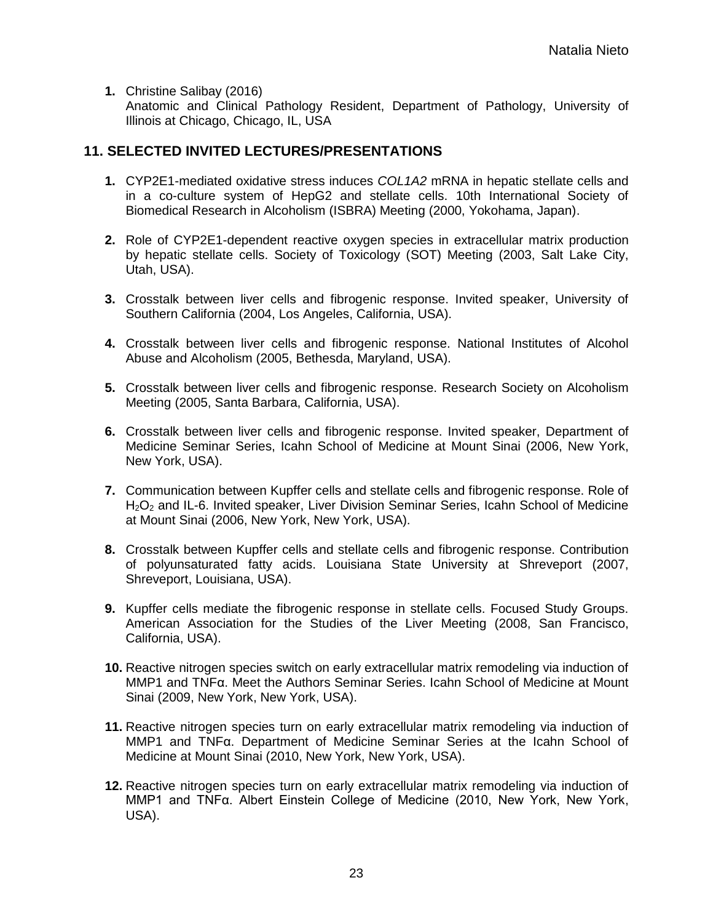**1.** Christine Salibay (2016)

Anatomic and Clinical Pathology Resident, Department of Pathology, University of Illinois at Chicago, Chicago, IL, USA

## **11. SELECTED INVITED LECTURES/PRESENTATIONS**

- **1.** CYP2E1-mediated oxidative stress induces *COL1A2* mRNA in hepatic stellate cells and in a co-culture system of HepG2 and stellate cells. 10th International Society of Biomedical Research in Alcoholism (ISBRA) Meeting (2000, Yokohama, Japan).
- **2.** Role of CYP2E1-dependent reactive oxygen species in extracellular matrix production by hepatic stellate cells. Society of Toxicology (SOT) Meeting (2003, Salt Lake City, Utah, USA).
- **3.** Crosstalk between liver cells and fibrogenic response. Invited speaker, University of Southern California (2004, Los Angeles, California, USA).
- **4.** Crosstalk between liver cells and fibrogenic response. National Institutes of Alcohol Abuse and Alcoholism (2005, Bethesda, Maryland, USA).
- **5.** Crosstalk between liver cells and fibrogenic response. Research Society on Alcoholism Meeting (2005, Santa Barbara, California, USA).
- **6.** Crosstalk between liver cells and fibrogenic response. Invited speaker, Department of Medicine Seminar Series, Icahn School of Medicine at Mount Sinai (2006, New York, New York, USA).
- **7.** Communication between Kupffer cells and stellate cells and fibrogenic response. Role of H<sub>2</sub>O<sub>2</sub> and IL-6. Invited speaker, Liver Division Seminar Series, Icahn School of Medicine at Mount Sinai (2006, New York, New York, USA).
- **8.** Crosstalk between Kupffer cells and stellate cells and fibrogenic response. Contribution of polyunsaturated fatty acids. Louisiana State University at Shreveport (2007, Shreveport, Louisiana, USA).
- **9.** Kupffer cells mediate the fibrogenic response in stellate cells. Focused Study Groups. American Association for the Studies of the Liver Meeting (2008, San Francisco, California, USA).
- **10.** Reactive nitrogen species switch on early extracellular matrix remodeling via induction of MMP1 and TNFα. Meet the Authors Seminar Series. Icahn School of Medicine at Mount Sinai (2009, New York, New York, USA).
- **11.** Reactive nitrogen species turn on early extracellular matrix remodeling via induction of MMP1 and TNFα. Department of Medicine Seminar Series at the Icahn School of Medicine at Mount Sinai (2010, New York, New York, USA).
- **12.** Reactive nitrogen species turn on early extracellular matrix remodeling via induction of MMP1 and TNFα. Albert Einstein College of Medicine (2010, New York, New York, USA).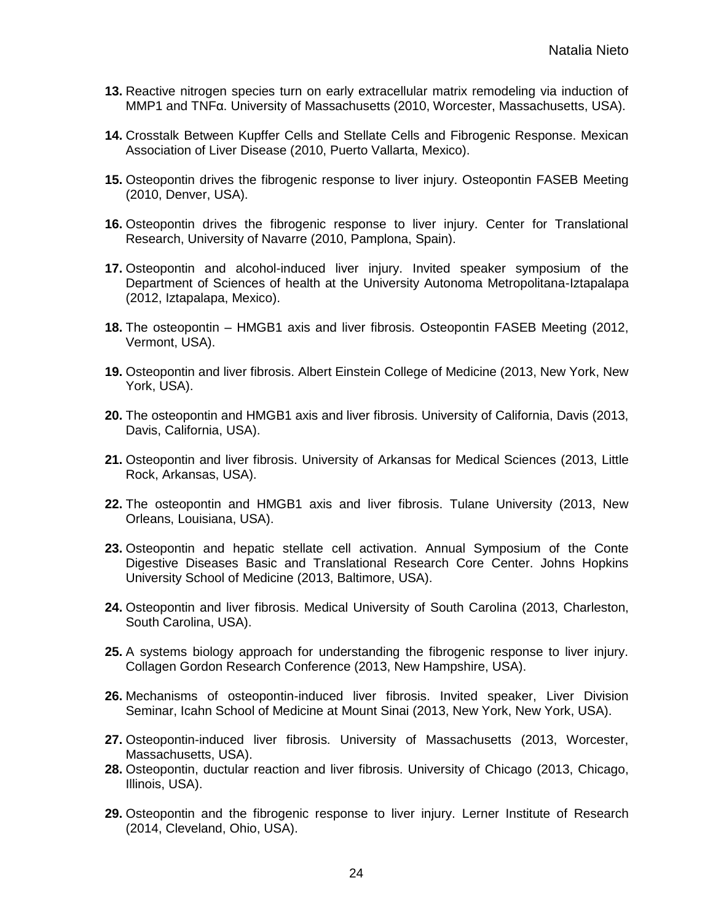- **13.** Reactive nitrogen species turn on early extracellular matrix remodeling via induction of MMP1 and TNFα. University of Massachusetts (2010, Worcester, Massachusetts, USA).
- **14.** Crosstalk Between Kupffer Cells and Stellate Cells and Fibrogenic Response. Mexican Association of Liver Disease (2010, Puerto Vallarta, Mexico).
- **15.** Osteopontin drives the fibrogenic response to liver injury. Osteopontin FASEB Meeting (2010, Denver, USA).
- **16.** Osteopontin drives the fibrogenic response to liver injury. Center for Translational Research, University of Navarre (2010, Pamplona, Spain).
- **17.** Osteopontin and alcohol-induced liver injury. Invited speaker symposium of the Department of Sciences of health at the University Autonoma Metropolitana-Iztapalapa (2012, Iztapalapa, Mexico).
- **18.** The osteopontin HMGB1 axis and liver fibrosis. Osteopontin FASEB Meeting (2012, Vermont, USA).
- **19.** Osteopontin and liver fibrosis. Albert Einstein College of Medicine (2013, New York, New York, USA).
- **20.** The osteopontin and HMGB1 axis and liver fibrosis. University of California, Davis (2013, Davis, California, USA).
- **21.** Osteopontin and liver fibrosis. University of Arkansas for Medical Sciences (2013, Little Rock, Arkansas, USA).
- **22.** The osteopontin and HMGB1 axis and liver fibrosis. Tulane University (2013, New Orleans, Louisiana, USA).
- **23.** Osteopontin and hepatic stellate cell activation. Annual Symposium of the Conte Digestive Diseases Basic and Translational Research Core Center. Johns Hopkins University School of Medicine (2013, Baltimore, USA).
- **24.** Osteopontin and liver fibrosis. Medical University of South Carolina (2013, Charleston, South Carolina, USA).
- **25.** A systems biology approach for understanding the fibrogenic response to liver injury. Collagen Gordon Research Conference (2013, New Hampshire, USA).
- **26.** Mechanisms of osteopontin-induced liver fibrosis. Invited speaker, Liver Division Seminar, Icahn School of Medicine at Mount Sinai (2013, New York, New York, USA).
- **27.** Osteopontin-induced liver fibrosis. University of Massachusetts (2013, Worcester, Massachusetts, USA).
- **28.** Osteopontin, ductular reaction and liver fibrosis. University of Chicago (2013, Chicago, Illinois, USA).
- **29.** Osteopontin and the fibrogenic response to liver injury. Lerner Institute of Research (2014, Cleveland, Ohio, USA).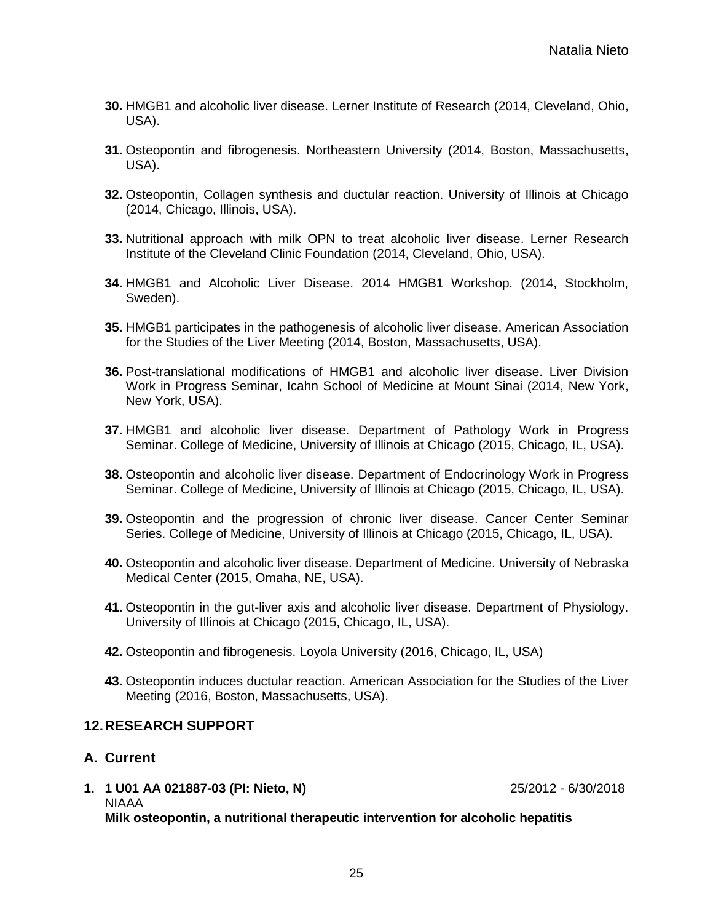- **30.** HMGB1 and alcoholic liver disease. Lerner Institute of Research (2014, Cleveland, Ohio, USA).
- **31.** Osteopontin and fibrogenesis. Northeastern University (2014, Boston, Massachusetts, USA).
- **32.** Osteopontin, Collagen synthesis and ductular reaction. University of Illinois at Chicago (2014, Chicago, Illinois, USA).
- **33.** Nutritional approach with milk OPN to treat alcoholic liver disease. Lerner Research Institute of the Cleveland Clinic Foundation (2014, Cleveland, Ohio, USA).
- **34.** HMGB1 and Alcoholic Liver Disease. 2014 HMGB1 Workshop. (2014, Stockholm, Sweden).
- **35.** HMGB1 participates in the pathogenesis of alcoholic liver disease. American Association for the Studies of the Liver Meeting (2014, Boston, Massachusetts, USA).
- **36.** Post-translational modifications of HMGB1 and alcoholic liver disease. Liver Division Work in Progress Seminar, Icahn School of Medicine at Mount Sinai (2014, New York, New York, USA).
- **37.** HMGB1 and alcoholic liver disease. Department of Pathology Work in Progress Seminar. College of Medicine, University of Illinois at Chicago (2015, Chicago, IL, USA).
- **38.** Osteopontin and alcoholic liver disease. Department of Endocrinology Work in Progress Seminar. College of Medicine, University of Illinois at Chicago (2015, Chicago, IL, USA).
- **39.** Osteopontin and the progression of chronic liver disease. Cancer Center Seminar Series. College of Medicine, University of Illinois at Chicago (2015, Chicago, IL, USA).
- **40.** Osteopontin and alcoholic liver disease. Department of Medicine. University of Nebraska Medical Center (2015, Omaha, NE, USA).
- **41.** Osteopontin in the gut-liver axis and alcoholic liver disease. Department of Physiology. University of Illinois at Chicago (2015, Chicago, IL, USA).
- **42.** Osteopontin and fibrogenesis. Loyola University (2016, Chicago, IL, USA)
- **43.** Osteopontin induces ductular reaction. American Association for the Studies of the Liver Meeting (2016, Boston, Massachusetts, USA).

## **12.RESEARCH SUPPORT**

#### **A. Current**

**1. 1 U01 AA 021887-03 (PI: Nieto, N)** 25/2012 - 6/30/2018 NIAAA **Milk osteopontin, a nutritional therapeutic intervention for alcoholic hepatitis**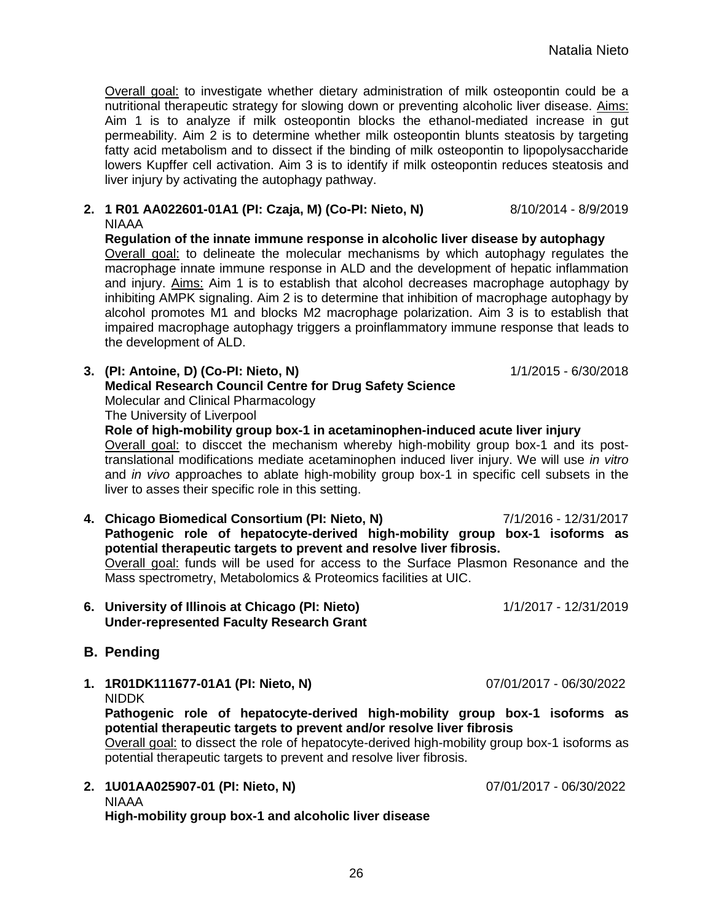Overall goal: to investigate whether dietary administration of milk osteopontin could be a nutritional therapeutic strategy for slowing down or preventing alcoholic liver disease. Aims: Aim 1 is to analyze if milk osteopontin blocks the ethanol-mediated increase in gut permeability. Aim 2 is to determine whether milk osteopontin blunts steatosis by targeting fatty acid metabolism and to dissect if the binding of milk osteopontin to lipopolysaccharide lowers Kupffer cell activation. Aim 3 is to identify if milk osteopontin reduces steatosis and liver injury by activating the autophagy pathway.

**2. 1 R01 AA022601-01A1 (PI: Czaja, M) (Co-PI: Nieto, N)** 8/10/2014 - 8/9/2019 NIAAA

**Regulation of the innate immune response in alcoholic liver disease by autophagy** Overall goal: to delineate the molecular mechanisms by which autophagy regulates the macrophage innate immune response in ALD and the development of hepatic inflammation and injury. Aims: Aim 1 is to establish that alcohol decreases macrophage autophagy by inhibiting AMPK signaling. Aim 2 is to determine that inhibition of macrophage autophagy by alcohol promotes M1 and blocks M2 macrophage polarization. Aim 3 is to establish that impaired macrophage autophagy triggers a proinflammatory immune response that leads to the development of ALD.

- **3. (PI: Antoine, D) (Co-PI: Nieto, N)** 1/1/2015 6/30/2018 **Medical Research Council Centre for Drug Safety Science** Molecular and Clinical Pharmacology The University of Liverpool **Role of high-mobility group box-1 in acetaminophen-induced acute liver injury**  Overall goal: to disccet the mechanism whereby high-mobility group box-1 and its posttranslational modifications mediate acetaminophen induced liver injury. We will use *in vitro* and *in vivo* approaches to ablate high-mobility group box-1 in specific cell subsets in the
- **4. Chicago Biomedical Consortium (PI: Nieto, N)** 7/1/2016 12/31/2017 **Pathogenic role of hepatocyte-derived high-mobility group box-1 isoforms as potential therapeutic targets to prevent and resolve liver fibrosis.** Overall goal: funds will be used for access to the Surface Plasmon Resonance and the Mass spectrometry, Metabolomics & Proteomics facilities at UIC.
- **6. University of Illinois at Chicago (PI: Nieto)** 1/1/2017 12/31/2019 **Under-represented Faculty Research Grant**

## **B. Pending**

**1. 1R01DK111677-01A1 (PI: Nieto, N)** 07/01/2017 - 06/30/2022 NIDDK

**Pathogenic role of hepatocyte-derived high-mobility group box-1 isoforms as potential therapeutic targets to prevent and/or resolve liver fibrosis**

Overall goal: to dissect the role of hepatocyte-derived high-mobility group box-1 isoforms as potential therapeutic targets to prevent and resolve liver fibrosis.

**2. 1U01AA025907-01 (PI: Nieto, N)** 07/01/2017 - 06/30/2022 NIAAA **High-mobility group box-1 and alcoholic liver disease**

liver to asses their specific role in this setting.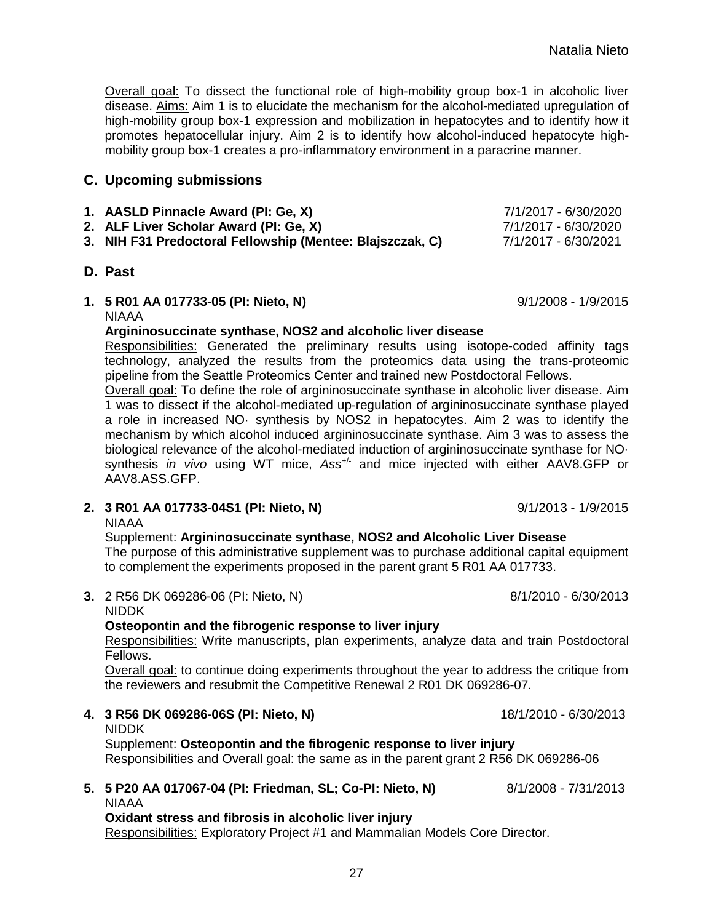27

Overall goal: To dissect the functional role of high-mobility group box-1 in alcoholic liver disease. Aims: Aim 1 is to elucidate the mechanism for the alcohol-mediated upregulation of high-mobility group box-1 expression and mobilization in hepatocytes and to identify how it promotes hepatocellular injury. Aim 2 is to identify how alcohol-induced hepatocyte highmobility group box-1 creates a pro-inflammatory environment in a paracrine manner.

## **C. Upcoming submissions**

- **1. AASLD Pinnacle Award (PI: Ge, X)** 7/1/2017 6/30/2020
- **2. ALF Liver Scholar Award (PI: Ge, X)** 7/1/2017 6/30/2020
- **3. NIH F31 Predoctoral Fellowship (Mentee: Blajszczak, C)** 7/1/2017 6/30/2021

## **D. Past**

**1. 5 R01 AA 017733-05 (PI: Nieto, N)** 9/1/2008 - 1/9/2015 NIAAA

#### **Argininosuccinate synthase, NOS2 and alcoholic liver disease**

Responsibilities: Generated the preliminary results using isotope-coded affinity tags technology, analyzed the results from the proteomics data using the trans-proteomic pipeline from the Seattle Proteomics Center and trained new Postdoctoral Fellows.

Overall goal: To define the role of argininosuccinate synthase in alcoholic liver disease. Aim 1 was to dissect if the alcohol-mediated up-regulation of argininosuccinate synthase played a role in increased NO· synthesis by NOS2 in hepatocytes. Aim 2 was to identify the mechanism by which alcohol induced argininosuccinate synthase. Aim 3 was to assess the biological relevance of the alcohol-mediated induction of argininosuccinate synthase for NO· synthesis *in vivo* using WT mice, Ass<sup>+/-</sup> and mice injected with either AAV8.GFP or AAV8.ASS.GFP.

**2. 3 R01 AA 017733-04S1 (PI: Nieto, N)** 9/1/2013 - 1/9/2015

NIAAA

Supplement: **Argininosuccinate synthase, NOS2 and Alcoholic Liver Disease** The purpose of this administrative supplement was to purchase additional capital equipment to complement the experiments proposed in the parent grant 5 R01 AA 017733.

**3.** 2 R56 DK 069286-06 (PI: Nieto, N) 8/1/2010 - 6/30/2013

#### NIDDK **Osteopontin and the fibrogenic response to liver injury**

Responsibilities: Write manuscripts, plan experiments, analyze data and train Postdoctoral Fellows.

Overall goal: to continue doing experiments throughout the year to address the critique from the reviewers and resubmit the Competitive Renewal 2 R01 DK 069286-07*.*

- **4. 3 R56 DK 069286-06S (PI: Nieto, N)** 18/1/2010 6/30/2013 NIDDK Supplement: **Osteopontin and the fibrogenic response to liver injury** Responsibilities and Overall goal: the same as in the parent grant 2 R56 DK 069286-06
- **5. 5 P20 AA 017067-04 (PI: Friedman, SL; Co-PI: Nieto, N)** 8/1/2008 7/31/2013 NIAAA

**Oxidant stress and fibrosis in alcoholic liver injury** Responsibilities: Exploratory Project #1 and Mammalian Models Core Director.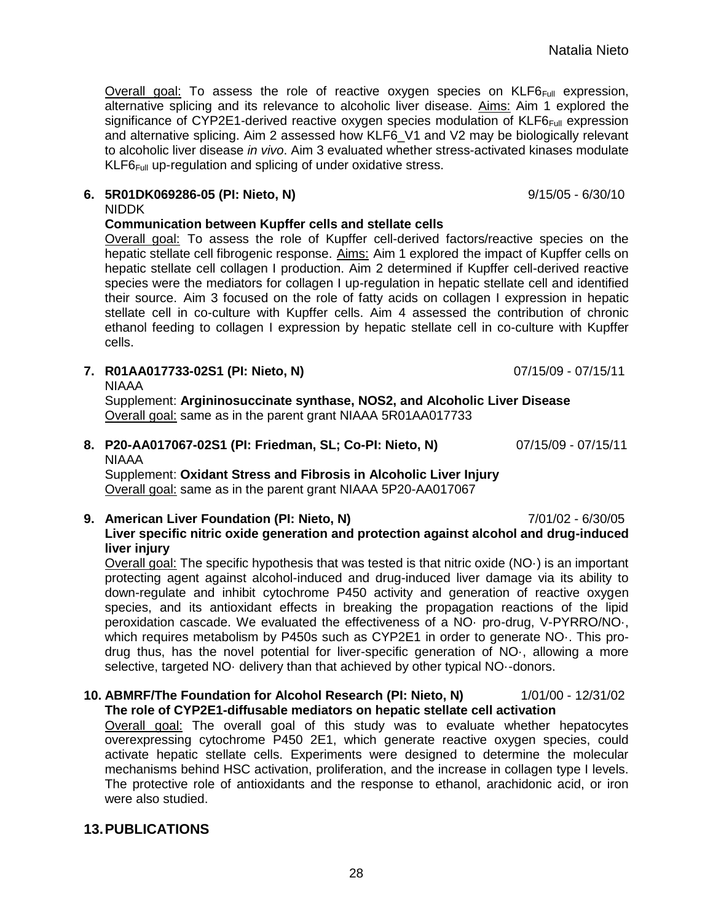Overall goal: To assess the role of reactive oxygen species on KLF6<sub>Full</sub> expression, alternative splicing and its relevance to alcoholic liver disease. Aims: Aim 1 explored the significance of CYP2E1-derived reactive oxygen species modulation of  $KLF6_{Full}$  expression and alternative splicing. Aim 2 assessed how KLF6\_V1 and V2 may be biologically relevant to alcoholic liver disease *in vivo*. Aim 3 evaluated whether stress-activated kinases modulate  $KLFG_{Full}$  up-regulation and splicing of under oxidative stress.

#### **6. 5R01DK069286-05 (PI: Nieto, N)** 9/15/05 - 6/30/10

NIDDK

#### **Communication between Kupffer cells and stellate cells**

Overall goal: To assess the role of Kupffer cell-derived factors/reactive species on the hepatic stellate cell fibrogenic response. Aims: Aim 1 explored the impact of Kupffer cells on hepatic stellate cell collagen I production. Aim 2 determined if Kupffer cell-derived reactive species were the mediators for collagen I up-regulation in hepatic stellate cell and identified their source. Aim 3 focused on the role of fatty acids on collagen I expression in hepatic stellate cell in co-culture with Kupffer cells. Aim 4 assessed the contribution of chronic ethanol feeding to collagen I expression by hepatic stellate cell in co-culture with Kupffer cells.

**7. R01AA017733-02S1 (PI: Nieto, N)** 07/15/09 - 07/15/11

**NIAAA** 

Supplement: **Argininosuccinate synthase, NOS2, and Alcoholic Liver Disease** Overall goal: same as in the parent grant NIAAA 5R01AA017733

**8. P20-AA017067-02S1 (PI: Friedman, SL; Co-PI: Nieto, N)** 07/15/09 - 07/15/11 NIAAA

Supplement: **Oxidant Stress and Fibrosis in Alcoholic Liver Injury** Overall goal: same as in the parent grant NIAAA 5P20-AA017067

**9. American Liver Foundation (PI: Nieto, N)** 7/01/02 - 6/30/05 **Liver specific nitric oxide generation and protection against alcohol and drug-induced liver injury**

Overall goal: The specific hypothesis that was tested is that nitric oxide (NO·) is an important protecting agent against alcohol-induced and drug-induced liver damage via its ability to down-regulate and inhibit cytochrome P450 activity and generation of reactive oxygen species, and its antioxidant effects in breaking the propagation reactions of the lipid peroxidation cascade. We evaluated the effectiveness of a NO· pro-drug, V-PYRRO/NO·, which requires metabolism by P450s such as CYP2E1 in order to generate NO·. This prodrug thus, has the novel potential for liver-specific generation of NO·, allowing a more selective, targeted NO· delivery than that achieved by other typical NO·-donors.

**10. ABMRF/The Foundation for Alcohol Research (PI: Nieto, N)** 1/01/00 - 12/31/02 **The role of CYP2E1-diffusable mediators on hepatic stellate cell activation**

Overall goal: The overall goal of this study was to evaluate whether hepatocytes overexpressing cytochrome P450 2E1, which generate reactive oxygen species, could activate hepatic stellate cells. Experiments were designed to determine the molecular mechanisms behind HSC activation, proliferation, and the increase in collagen type I levels. The protective role of antioxidants and the response to ethanol, arachidonic acid, or iron were also studied.

## **13.PUBLICATIONS**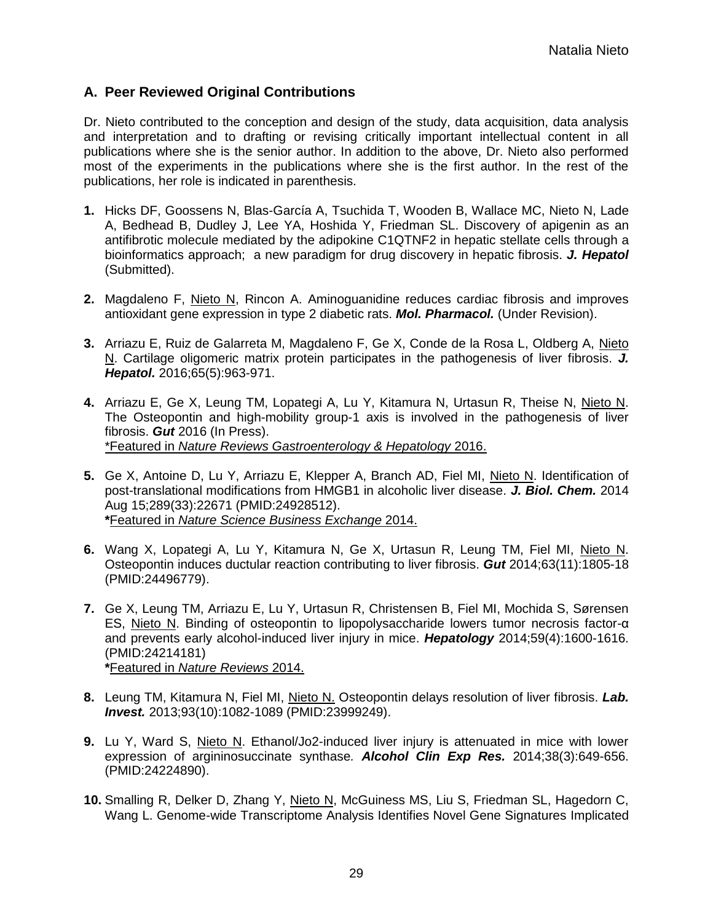## **A. Peer Reviewed Original Contributions**

Dr. Nieto contributed to the conception and design of the study, data acquisition, data analysis and interpretation and to drafting or revising critically important intellectual content in all publications where she is the senior author. In addition to the above, Dr. Nieto also performed most of the experiments in the publications where she is the first author. In the rest of the publications, her role is indicated in parenthesis.

- **1.** Hicks DF, Goossens N, Blas-García A, Tsuchida T, Wooden B, Wallace MC, Nieto N, Lade A, Bedhead B, Dudley J, Lee YA, Hoshida Y, Friedman SL. Discovery of apigenin as an antifibrotic molecule mediated by the adipokine C1QTNF2 in hepatic stellate cells through a bioinformatics approach; a new paradigm for drug discovery in hepatic fibrosis. *J. Hepatol* (Submitted).
- **2.** Magdaleno F, Nieto N, Rincon A. Aminoguanidine reduces cardiac fibrosis and improves antioxidant gene expression in type 2 diabetic rats. *Mol. Pharmacol.* (Under Revision).
- **3.** Arriazu E, Ruiz de Galarreta M, Magdaleno F, Ge X, Conde de la Rosa L, Oldberg A, Nieto N. Cartilage oligomeric matrix protein participates in the pathogenesis of liver fibrosis. *J. Hepatol.* 2016;65(5):963-971.
- **4.** Arriazu E, Ge X, Leung TM, Lopategi A, Lu Y, Kitamura N, Urtasun R, Theise N, Nieto N. The Osteopontin and high-mobility group-1 axis is involved in the pathogenesis of liver fibrosis. *Gut* 2016 (In Press). \*Featured in *Nature Reviews Gastroenterology & Hepatology* 2016.
- **5.** Ge X, Antoine D, Lu Y, Arriazu E, Klepper A, Branch AD, Fiel MI, Nieto N. Identification of post-translational modifications from HMGB1 in alcoholic liver disease. *J. Biol. Chem.* 2014 Aug 15;289(33):22671 (PMID:24928512). **\***Featured in *Nature Science Business Exchange* 2014.
- **6.** Wang X, Lopategi A, Lu Y, Kitamura N, Ge X, Urtasun R, Leung TM, Fiel MI, Nieto N. Osteopontin induces ductular reaction contributing to liver fibrosis. *Gut* 2014;63(11):1805-18 (PMID:24496779).
- **7.** Ge X, Leung TM, Arriazu E, Lu Y, Urtasun R, Christensen B, Fiel MI, Mochida S, Sørensen ES, Nieto N. Binding of osteopontin to lipopolysaccharide lowers tumor necrosis factor-α and prevents early alcohol-induced liver injury in mice. *Hepatology* 2014;59(4):1600-1616. (PMID:24214181) **\***Featured in *Nature Reviews* 2014.
- **8.** Leung TM, Kitamura N, Fiel MI, Nieto N. Osteopontin delays resolution of liver fibrosis. *Lab. Invest.* 2013;93(10):1082-1089 (PMID:23999249).
- **9.** Lu Y, Ward S, Nieto N. Ethanol/Jo2-induced liver injury is attenuated in mice with lower expression of argininosuccinate synthase*. Alcohol Clin Exp Res.* 2014;38(3):649-656. (PMID:24224890).
- **10.** Smalling R, Delker D, Zhang Y, Nieto N, McGuiness MS, Liu S, Friedman SL, Hagedorn C, Wang L. Genome-wide Transcriptome Analysis Identifies Novel Gene Signatures Implicated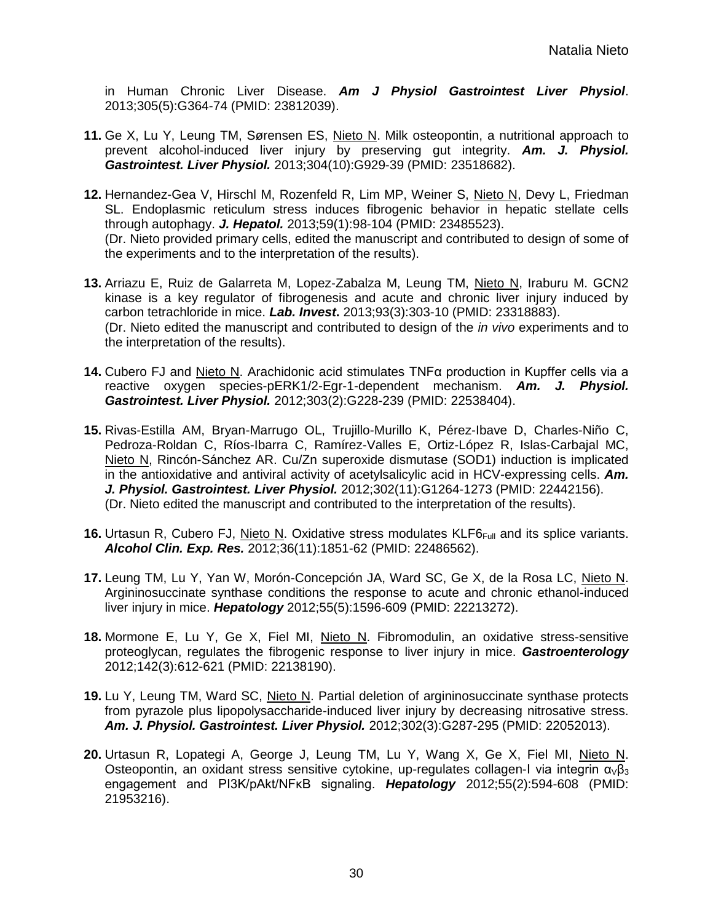in Human Chronic Liver Disease. *Am J Physiol Gastrointest Liver Physiol*. 2013;305(5):G364-74 (PMID: 23812039).

- **11.** Ge X, Lu Y, Leung TM, Sørensen ES, Nieto N. Milk osteopontin, a nutritional approach to prevent alcohol-induced liver injury by preserving gut integrity. *Am. J. Physiol. Gastrointest. Liver Physiol.* 2013;304(10):G929-39 (PMID: 23518682).
- **12.** Hernandez-Gea V, Hirschl M, Rozenfeld R, Lim MP, Weiner S, Nieto N, Devy L, Friedman SL. Endoplasmic reticulum stress induces fibrogenic behavior in hepatic stellate cells through autophagy. *J. Hepatol.* 2013;59(1):98-104 (PMID: 23485523). (Dr. Nieto provided primary cells, edited the manuscript and contributed to design of some of the experiments and to the interpretation of the results).
- **13.** Arriazu E, Ruiz de Galarreta M, Lopez-Zabalza M, Leung TM, Nieto N, Iraburu M. GCN2 kinase is a key regulator of fibrogenesis and acute and chronic liver injury induced by carbon tetrachloride in mice. *Lab. Invest***.** 2013;93(3):303-10 (PMID: 23318883). (Dr. Nieto edited the manuscript and contributed to design of the *in vivo* experiments and to the interpretation of the results).
- **14.** Cubero FJ and Nieto N. Arachidonic acid stimulates TNFα production in Kupffer cells via a reactive oxygen species-pERK1/2-Egr-1-dependent mechanism. *Am. J. Physiol. Gastrointest. Liver Physiol.* 2012;303(2):G228-239 (PMID: 22538404).
- **15.** Rivas-Estilla AM, Bryan-Marrugo OL, Trujillo-Murillo K, Pérez-Ibave D, Charles-Niño C, Pedroza-Roldan C, Ríos-Ibarra C, Ramírez-Valles E, Ortiz-López R, Islas-Carbajal MC, Nieto N, Rincón-Sánchez AR. Cu/Zn superoxide dismutase (SOD1) induction is implicated in the antioxidative and antiviral activity of acetylsalicylic acid in HCV-expressing cells. *Am. J. Physiol. Gastrointest. Liver Physiol.* 2012;302(11):G1264-1273 (PMID: 22442156). (Dr. Nieto edited the manuscript and contributed to the interpretation of the results).
- **16.** Urtasun R, Cubero FJ, Nieto N. Oxidative stress modulates KLF6<sub>Full</sub> and its splice variants. *Alcohol Clin. Exp. Res.* 2012;36(11):1851-62 (PMID: 22486562).
- **17.** Leung TM, Lu Y, Yan W, Morón-Concepción JA, Ward SC, Ge X, de la Rosa LC, Nieto N. Argininosuccinate synthase conditions the response to acute and chronic ethanol-induced liver injury in mice. *Hepatology* 2012;55(5):1596-609 (PMID: 22213272).
- **18.** Mormone E, Lu Y, Ge X, Fiel MI, Nieto N. Fibromodulin, an oxidative stress-sensitive proteoglycan, regulates the fibrogenic response to liver injury in mice. *Gastroenterology* 2012;142(3):612-621 (PMID: 22138190).
- **19.** Lu Y, Leung TM, Ward SC, Nieto N. Partial deletion of argininosuccinate synthase protects from pyrazole plus lipopolysaccharide-induced liver injury by decreasing nitrosative stress. *Am. J. Physiol. Gastrointest. Liver Physiol.* 2012;302(3):G287-295 (PMID: 22052013).
- **20.** Urtasun R, Lopategi A, George J, Leung TM, Lu Y, Wang X, Ge X, Fiel MI, Nieto N. Osteopontin, an oxidant stress sensitive cytokine, up-regulates collagen-I via integrin  $\alpha_{\nu}\beta_3$ engagement and PI3K/pAkt/NFκB signaling. *Hepatology* 2012;55(2):594-608 (PMID: 21953216).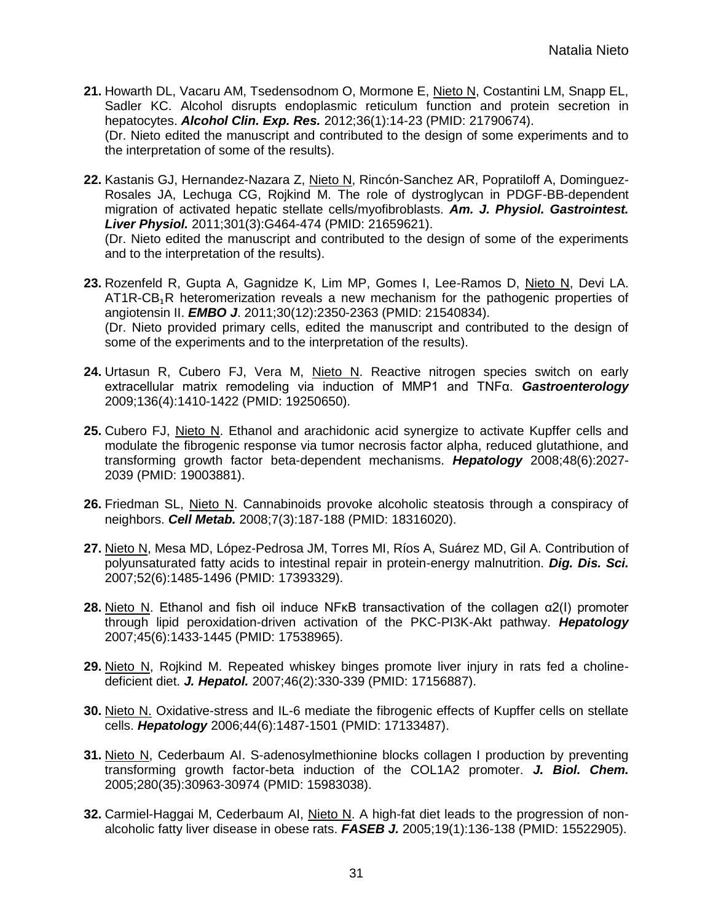- **21.** Howarth DL, Vacaru AM, Tsedensodnom O, Mormone E, Nieto N, Costantini LM, Snapp EL, Sadler KC. Alcohol disrupts endoplasmic reticulum function and protein secretion in hepatocytes. *Alcohol Clin. Exp. Res.* 2012;36(1):14-23 (PMID: 21790674). (Dr. Nieto edited the manuscript and contributed to the design of some experiments and to the interpretation of some of the results).
- **22.** Kastanis GJ, Hernandez-Nazara Z, Nieto N, Rincón-Sanchez AR, Popratiloff A, Dominguez-Rosales JA, Lechuga CG, Rojkind M. The role of dystroglycan in PDGF-BB-dependent migration of activated hepatic stellate cells/myofibroblasts. *Am. J. Physiol. Gastrointest. Liver Physiol.* 2011;301(3):G464-474 (PMID: 21659621). (Dr. Nieto edited the manuscript and contributed to the design of some of the experiments

and to the interpretation of the results).

- **23.** Rozenfeld R, Gupta A, Gagnidze K, Lim MP, Gomes I, Lee-Ramos D, Nieto N, Devi LA. AT1R-CB₁R heteromerization reveals a new mechanism for the pathogenic properties of angiotensin II. *EMBO J*. 2011;30(12):2350-2363 (PMID: 21540834). (Dr. Nieto provided primary cells, edited the manuscript and contributed to the design of some of the experiments and to the interpretation of the results).
- **24.** Urtasun R, Cubero FJ, Vera M, Nieto N. Reactive nitrogen species switch on early extracellular matrix remodeling via induction of MMP1 and TNFα. *Gastroenterology* 2009;136(4):1410-1422 (PMID: 19250650).
- **25.** Cubero FJ, Nieto N. Ethanol and arachidonic acid synergize to activate Kupffer cells and modulate the fibrogenic response via tumor necrosis factor alpha, reduced glutathione, and transforming growth factor beta-dependent mechanisms. *Hepatology* 2008;48(6):2027- 2039 (PMID: 19003881).
- **26.** Friedman SL, Nieto N. Cannabinoids provoke alcoholic steatosis through a conspiracy of neighbors. *Cell Metab.* 2008;7(3):187-188 (PMID: 18316020).
- **27.** Nieto N, Mesa MD, López-Pedrosa JM, Torres MI, Ríos A, Suárez MD, Gil A. Contribution of polyunsaturated fatty acids to intestinal repair in protein-energy malnutrition. *Dig. Dis. Sci.* 2007;52(6):1485-1496 (PMID: 17393329).
- **28.** Nieto N. Ethanol and fish oil induce NFκB transactivation of the collagen α2(I) promoter through lipid peroxidation-driven activation of the PKC-PI3K-Akt pathway. *Hepatology* 2007;45(6):1433-1445 (PMID: 17538965).
- **29.** Nieto N, Rojkind M. Repeated whiskey binges promote liver injury in rats fed a cholinedeficient diet. *J. Hepatol.* 2007;46(2):330-339 (PMID: 17156887).
- **30.** Nieto N. Oxidative-stress and IL-6 mediate the fibrogenic effects of Kupffer cells on stellate cells. *Hepatology* 2006;44(6):1487-1501 (PMID: 17133487).
- **31.** Nieto N, Cederbaum AI. S-adenosylmethionine blocks collagen I production by preventing transforming growth factor-beta induction of the COL1A2 promoter. *J. Biol. Chem.* 2005;280(35):30963-30974 (PMID: 15983038).
- **32.** Carmiel-Haggai M, Cederbaum AI, Nieto N. A high-fat diet leads to the progression of nonalcoholic fatty liver disease in obese rats. *FASEB J.* 2005;19(1):136-138 (PMID: 15522905).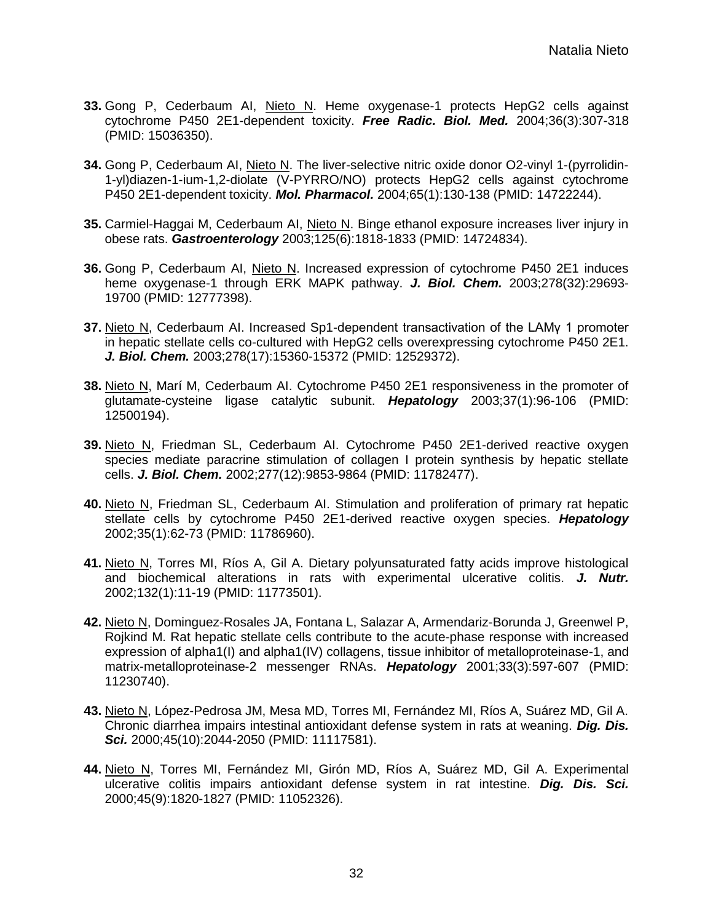- **33.** Gong P, Cederbaum AI, Nieto N. Heme oxygenase-1 protects HepG2 cells against cytochrome P450 2E1-dependent toxicity. *Free Radic. Biol. Med.* 2004;36(3):307-318 (PMID: 15036350).
- **34.** Gong P, Cederbaum AI, Nieto N. The liver-selective nitric oxide donor O2-vinyl 1-(pyrrolidin-1-yl)diazen-1-ium-1,2-diolate (V-PYRRO/NO) protects HepG2 cells against cytochrome P450 2E1-dependent toxicity. *Mol. Pharmacol.* 2004;65(1):130-138 (PMID: 14722244).
- **35.** Carmiel-Haggai M, Cederbaum AI, Nieto N. Binge ethanol exposure increases liver injury in obese rats. *Gastroenterology* 2003;125(6):1818-1833 (PMID: 14724834).
- **36.** Gong P, Cederbaum AI, Nieto N. Increased expression of cytochrome P450 2E1 induces heme oxygenase-1 through ERK MAPK pathway. *J. Biol. Chem.* 2003;278(32):29693- 19700 (PMID: 12777398).
- **37.** Nieto N, Cederbaum AI. Increased Sp1-dependent transactivation of the LAMγ 1 promoter in hepatic stellate cells co-cultured with HepG2 cells overexpressing cytochrome P450 2E1. *J. Biol. Chem.* 2003;278(17):15360-15372 (PMID: 12529372).
- **38.** Nieto N, Marí M, Cederbaum AI. Cytochrome P450 2E1 responsiveness in the promoter of glutamate-cysteine ligase catalytic subunit. *Hepatology* 2003;37(1):96-106 (PMID: 12500194).
- **39.** Nieto N, Friedman SL, Cederbaum AI. Cytochrome P450 2E1-derived reactive oxygen species mediate paracrine stimulation of collagen I protein synthesis by hepatic stellate cells. *J. Biol. Chem.* 2002;277(12):9853-9864 (PMID: 11782477).
- **40.** Nieto N, Friedman SL, Cederbaum AI. Stimulation and proliferation of primary rat hepatic stellate cells by cytochrome P450 2E1-derived reactive oxygen species. *Hepatology* 2002;35(1):62-73 (PMID: 11786960).
- **41.** Nieto N, Torres MI, Ríos A, Gil A. Dietary polyunsaturated fatty acids improve histological and biochemical alterations in rats with experimental ulcerative colitis. *J. Nutr.* 2002;132(1):11-19 (PMID: 11773501).
- **42.** Nieto N, Dominguez-Rosales JA, Fontana L, Salazar A, Armendariz-Borunda J, Greenwel P, Rojkind M. Rat hepatic stellate cells contribute to the acute-phase response with increased expression of alpha1(I) and alpha1(IV) collagens, tissue inhibitor of metalloproteinase-1, and matrix-metalloproteinase-2 messenger RNAs. *Hepatology* 2001;33(3):597-607 (PMID: 11230740).
- **43.** Nieto N, López-Pedrosa JM, Mesa MD, Torres MI, Fernández MI, Ríos A, Suárez MD, Gil A. Chronic diarrhea impairs intestinal antioxidant defense system in rats at weaning. *Dig. Dis.*  **Sci.** 2000;45(10):2044-2050 (PMID: 11117581).
- **44.** Nieto N, Torres MI, Fernández MI, Girón MD, Ríos A, Suárez MD, Gil A. Experimental ulcerative colitis impairs antioxidant defense system in rat intestine. *Dig. Dis. Sci.* 2000;45(9):1820-1827 (PMID: 11052326).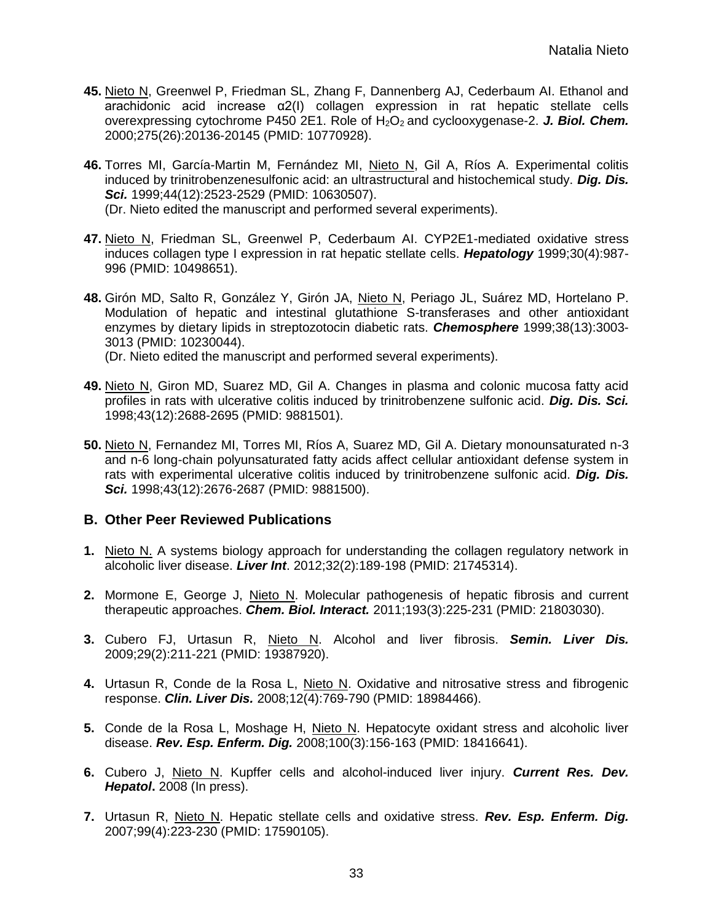- **45.** Nieto N, Greenwel P, Friedman SL, Zhang F, Dannenberg AJ, Cederbaum AI. Ethanol and arachidonic acid increase α2(I) collagen expression in rat hepatic stellate cells overexpressing cytochrome P450 2E1. Role of H<sub>2</sub>O<sub>2</sub> and cyclooxygenase-2. **J. Biol. Chem.** 2000;275(26):20136-20145 (PMID: 10770928).
- **46.** Torres MI, García-Martin M, Fernández MI, Nieto N, Gil A, Ríos A. Experimental colitis induced by trinitrobenzenesulfonic acid: an ultrastructural and histochemical study. *Dig. Dis. Sci.* 1999;44(12):2523-2529 (PMID: 10630507). (Dr. Nieto edited the manuscript and performed several experiments).
- **47.** Nieto N, Friedman SL, Greenwel P, Cederbaum AI. CYP2E1-mediated oxidative stress induces collagen type I expression in rat hepatic stellate cells. *Hepatology* 1999;30(4):987- 996 (PMID: 10498651).
- **48.** Girón MD, Salto R, González Y, Girón JA, Nieto N, Periago JL, Suárez MD, Hortelano P. Modulation of hepatic and intestinal glutathione S-transferases and other antioxidant enzymes by dietary lipids in streptozotocin diabetic rats. *Chemosphere* 1999;38(13):3003- 3013 (PMID: 10230044).
	- (Dr. Nieto edited the manuscript and performed several experiments).
- **49.** Nieto N, Giron MD, Suarez MD, Gil A. Changes in plasma and colonic mucosa fatty acid profiles in rats with ulcerative colitis induced by trinitrobenzene sulfonic acid. *Dig. Dis. Sci.* 1998;43(12):2688-2695 (PMID: 9881501).
- **50.** Nieto N, Fernandez MI, Torres MI, Ríos A, Suarez MD, Gil A. Dietary monounsaturated n-3 and n-6 long-chain polyunsaturated fatty acids affect cellular antioxidant defense system in rats with experimental ulcerative colitis induced by trinitrobenzene sulfonic acid. *Dig. Dis. Sci.* 1998;43(12):2676-2687 (PMID: 9881500).

#### **B. Other Peer Reviewed Publications**

- **1.** Nieto N. A systems biology approach for understanding the collagen regulatory network in alcoholic liver disease. *Liver Int*. 2012;32(2):189-198 (PMID: 21745314).
- **2.** Mormone E, George J, Nieto N. Molecular pathogenesis of hepatic fibrosis and current therapeutic approaches. *Chem. Biol. Interact.* 2011;193(3):225-231 (PMID: 21803030).
- **3.** Cubero FJ, Urtasun R, Nieto N. Alcohol and liver fibrosis. *Semin. Liver Dis.* 2009;29(2):211-221 (PMID: 19387920).
- 4. Urtasun R, Conde de la Rosa L, Nieto N. Oxidative and nitrosative stress and fibrogenic response. *Clin. Liver Dis.* 2008;12(4):769-790 (PMID: 18984466).
- **5.** Conde de la Rosa L, Moshage H, Nieto N. Hepatocyte oxidant stress and alcoholic liver disease. *Rev. Esp. Enferm. Dig.* 2008;100(3):156-163 (PMID: 18416641).
- **6.** Cubero J, Nieto N. Kupffer cells and alcohol-induced liver injury. *Current Res. Dev. Hepatol***.** 2008 (In press).
- **7.** Urtasun R, Nieto N. Hepatic stellate cells and oxidative stress. *Rev. Esp. Enferm. Dig.* 2007;99(4):223-230 (PMID: 17590105).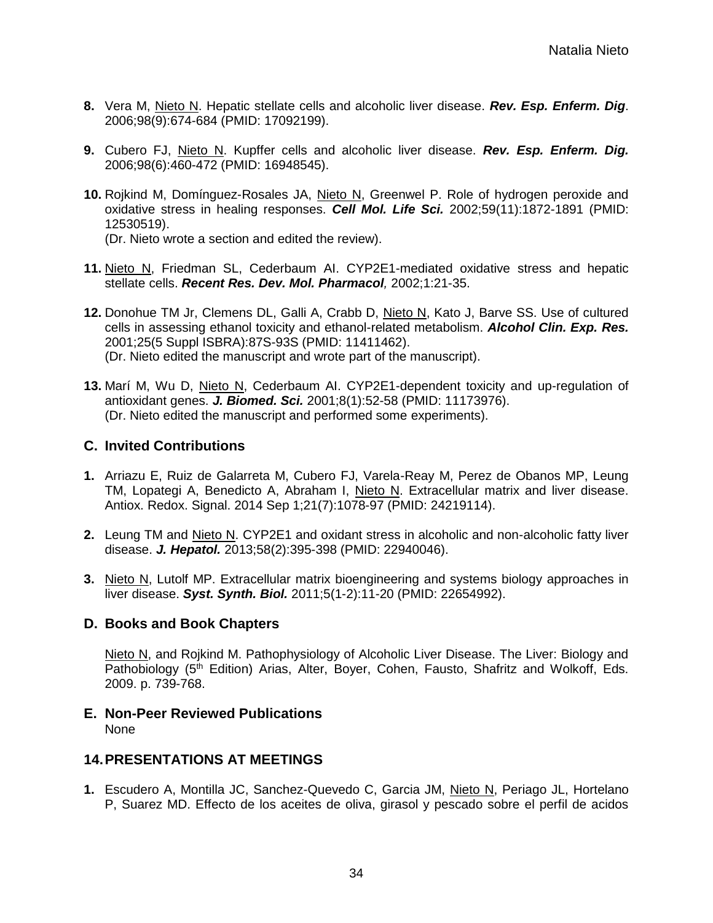- **8.** Vera M, Nieto N. Hepatic stellate cells and alcoholic liver disease. *Rev. Esp. Enferm. Dig*. 2006;98(9):674-684 (PMID: 17092199).
- **9.** Cubero FJ, Nieto N. Kupffer cells and alcoholic liver disease. *Rev. Esp. Enferm. Dig.* 2006;98(6):460-472 (PMID: 16948545).
- **10.** Rojkind M, Domínguez-Rosales JA, Nieto N, Greenwel P. Role of hydrogen peroxide and oxidative stress in healing responses. *Cell Mol. Life Sci.* 2002;59(11):1872-1891 (PMID: 12530519).

(Dr. Nieto wrote a section and edited the review).

- **11.** Nieto N, Friedman SL, Cederbaum AI. CYP2E1-mediated oxidative stress and hepatic stellate cells. *Recent Res. Dev. Mol. Pharmacol,* 2002;1:21-35.
- **12.** Donohue TM Jr, Clemens DL, Galli A, Crabb D, Nieto N, Kato J, Barve SS. Use of cultured cells in assessing ethanol toxicity and ethanol-related metabolism. *Alcohol Clin. Exp. Res.* 2001;25(5 Suppl ISBRA):87S-93S (PMID: 11411462). (Dr. Nieto edited the manuscript and wrote part of the manuscript).
- **13.** Marí M, Wu D, Nieto N, Cederbaum AI. CYP2E1-dependent toxicity and up-regulation of antioxidant genes. *J. Biomed. Sci.* 2001;8(1):52-58 (PMID: 11173976). (Dr. Nieto edited the manuscript and performed some experiments).

## **C. Invited Contributions**

- **1.** Arriazu E, Ruiz de Galarreta M, Cubero FJ, Varela-Reay M, Perez de Obanos MP, Leung TM, Lopategi A, Benedicto A, Abraham I, Nieto N. Extracellular matrix and liver disease. Antiox. Redox. Signal. 2014 Sep 1;21(7):1078-97 (PMID: 24219114).
- **2.** Leung TM and Nieto N. CYP2E1 and oxidant stress in alcoholic and non-alcoholic fatty liver disease. *J. Hepatol.* 2013;58(2):395-398 (PMID: 22940046).
- **3.** Nieto N, Lutolf MP. Extracellular matrix bioengineering and systems biology approaches in liver disease. *[Syst. Synth. Biol.](http://www.ncbi.nlm.nih.gov/pubmed/?term=nieto%2C+luetolf)* 2011;5(1-2):11-20 (PMID: 22654992).

## **D. Books and Book Chapters**

Nieto N, and Rojkind M. Pathophysiology of Alcoholic Liver Disease. The Liver: Biology and Pathobiology (5<sup>th</sup> Edition) Arias, Alter, Boyer, Cohen, Fausto, Shafritz and Wolkoff, Eds. 2009. p. 739-768.

**E. Non-Peer Reviewed Publications**  None

## **14.PRESENTATIONS AT MEETINGS**

**1.** Escudero A, Montilla JC, Sanchez-Quevedo C, Garcia JM, Nieto N, Periago JL, Hortelano P, Suarez MD. Effecto de los aceites de oliva, girasol y pescado sobre el perfil de acidos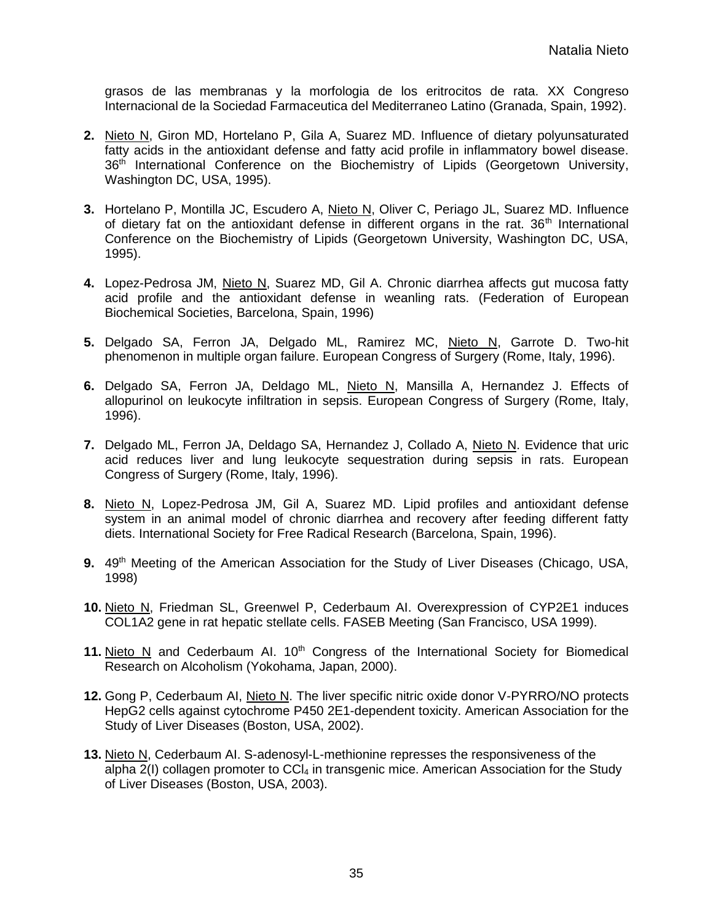grasos de las membranas y la morfologia de los eritrocitos de rata. XX Congreso Internacional de la Sociedad Farmaceutica del Mediterraneo Latino (Granada, Spain, 1992).

- **2.** Nieto N, Giron MD, Hortelano P, Gila A, Suarez MD. Influence of dietary polyunsaturated fatty acids in the antioxidant defense and fatty acid profile in inflammatory bowel disease. 36<sup>th</sup> International Conference on the Biochemistry of Lipids (Georgetown University, Washington DC, USA, 1995).
- **3.** Hortelano P, Montilla JC, Escudero A, Nieto N, Oliver C, Periago JL, Suarez MD. Influence of dietary fat on the antioxidant defense in different organs in the rat.  $36<sup>th</sup>$  International Conference on the Biochemistry of Lipids (Georgetown University, Washington DC, USA, 1995).
- **4.** Lopez-Pedrosa JM, Nieto N, Suarez MD, Gil A. Chronic diarrhea affects gut mucosa fatty acid profile and the antioxidant defense in weanling rats. (Federation of European Biochemical Societies, Barcelona, Spain, 1996)
- **5.** Delgado SA, Ferron JA, Delgado ML, Ramirez MC, Nieto N, Garrote D. Two-hit phenomenon in multiple organ failure. European Congress of Surgery (Rome, Italy, 1996).
- **6.** Delgado SA, Ferron JA, Deldago ML, Nieto N, Mansilla A, Hernandez J. Effects of allopurinol on leukocyte infiltration in sepsis. European Congress of Surgery (Rome, Italy, 1996).
- **7.** Delgado ML, Ferron JA, Deldago SA, Hernandez J, Collado A, Nieto N. Evidence that uric acid reduces liver and lung leukocyte sequestration during sepsis in rats. European Congress of Surgery (Rome, Italy, 1996).
- **8.** Nieto N, Lopez-Pedrosa JM, Gil A, Suarez MD. Lipid profiles and antioxidant defense system in an animal model of chronic diarrhea and recovery after feeding different fatty diets. International Society for Free Radical Research (Barcelona, Spain, 1996).
- **9.** 49<sup>th</sup> Meeting of the American Association for the Study of Liver Diseases (Chicago, USA, 1998)
- **10.** Nieto N, Friedman SL, Greenwel P, Cederbaum AI. Overexpression of CYP2E1 induces COL1A2 gene in rat hepatic stellate cells. FASEB Meeting (San Francisco, USA 1999).
- 11. Nieto N and Cederbaum AI. 10<sup>th</sup> Congress of the International Society for Biomedical Research on Alcoholism (Yokohama, Japan, 2000).
- **12.** Gong P, Cederbaum AI, Nieto N. The liver specific nitric oxide donor V-PYRRO/NO protects HepG2 cells against cytochrome P450 2E1-dependent toxicity. American Association for the Study of Liver Diseases (Boston, USA, 2002).
- **13.** Nieto N, Cederbaum AI. S-adenosyl-L-methionine represses the responsiveness of the alpha  $2(1)$  collagen promoter to  $CCI<sub>4</sub>$  in transgenic mice. American Association for the Study of Liver Diseases (Boston, USA, 2003).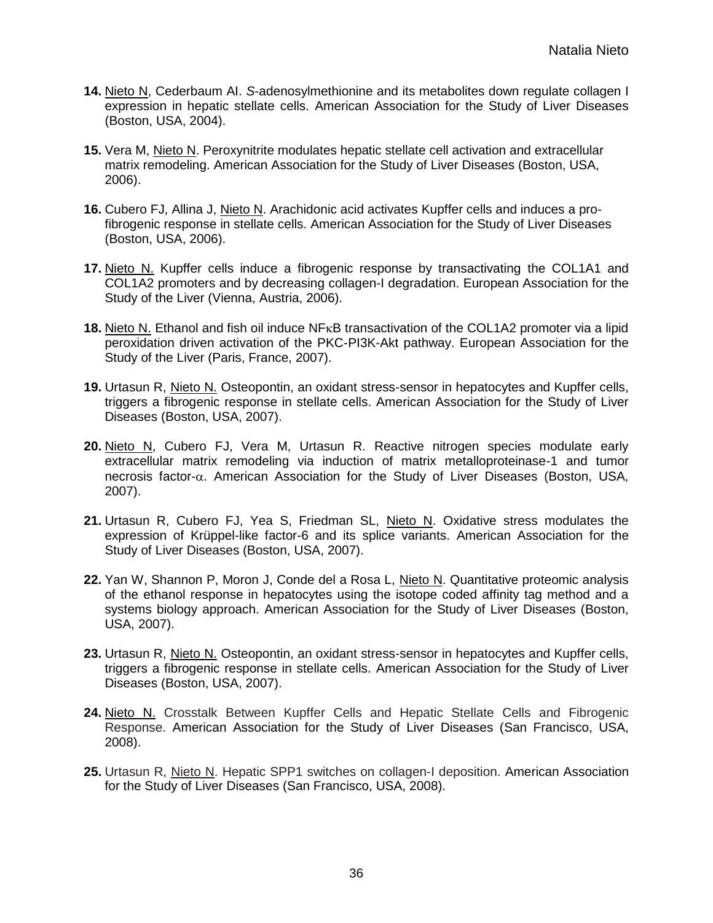- **14.** Nieto N, Cederbaum AI. *S*-adenosylmethionine and its metabolites down regulate collagen I expression in hepatic stellate cells. American Association for the Study of Liver Diseases (Boston, USA, 2004).
- **15.** Vera M, Nieto N. Peroxynitrite modulates hepatic stellate cell activation and extracellular matrix remodeling. American Association for the Study of Liver Diseases (Boston, USA, 2006).
- **16.** Cubero FJ, Allina J, Nieto N. Arachidonic acid activates Kupffer cells and induces a profibrogenic response in stellate cells. American Association for the Study of Liver Diseases (Boston, USA, 2006).
- **17.** Nieto N. Kupffer cells induce a fibrogenic response by transactivating the COL1A1 and COL1A2 promoters and by decreasing collagen-I degradation. European Association for the Study of the Liver (Vienna, Austria, 2006).
- **18.** Nieto N. Ethanol and fish oil induce NF<sub>K</sub>B transactivation of the COL1A2 promoter via a lipid peroxidation driven activation of the PKC-PI3K-Akt pathway. European Association for the Study of the Liver (Paris, France, 2007).
- **19.** Urtasun R, Nieto N. Osteopontin, an oxidant stress-sensor in hepatocytes and Kupffer cells, triggers a fibrogenic response in stellate cells. American Association for the Study of Liver Diseases (Boston, USA, 2007).
- **20.** Nieto N, Cubero FJ, Vera M, Urtasun R. Reactive nitrogen species modulate early extracellular matrix remodeling via induction of matrix metalloproteinase-1 and tumor necrosis factor- $\alpha$ . American Association for the Study of Liver Diseases (Boston, USA, 2007).
- **21.** Urtasun R, Cubero FJ, Yea S, Friedman SL, Nieto N. Oxidative stress modulates the expression of Krüppel-like factor-6 and its splice variants. American Association for the Study of Liver Diseases (Boston, USA, 2007).
- **22.** Yan W, Shannon P, Moron J, Conde del a Rosa L, Nieto N. Quantitative proteomic analysis of the ethanol response in hepatocytes using the isotope coded affinity tag method and a systems biology approach. American Association for the Study of Liver Diseases (Boston, USA, 2007).
- 23. Urtasun R, Nieto N. Osteopontin, an oxidant stress-sensor in hepatocytes and Kupffer cells, triggers a fibrogenic response in stellate cells. American Association for the Study of Liver Diseases (Boston, USA, 2007).
- **24.** Nieto N. Crosstalk Between Kupffer Cells and Hepatic Stellate Cells and Fibrogenic Response. American Association for the Study of Liver Diseases (San Francisco, USA, 2008).
- **25.** Urtasun R, Nieto N. Hepatic SPP1 switches on collagen-I deposition. American Association for the Study of Liver Diseases (San Francisco, USA, 2008).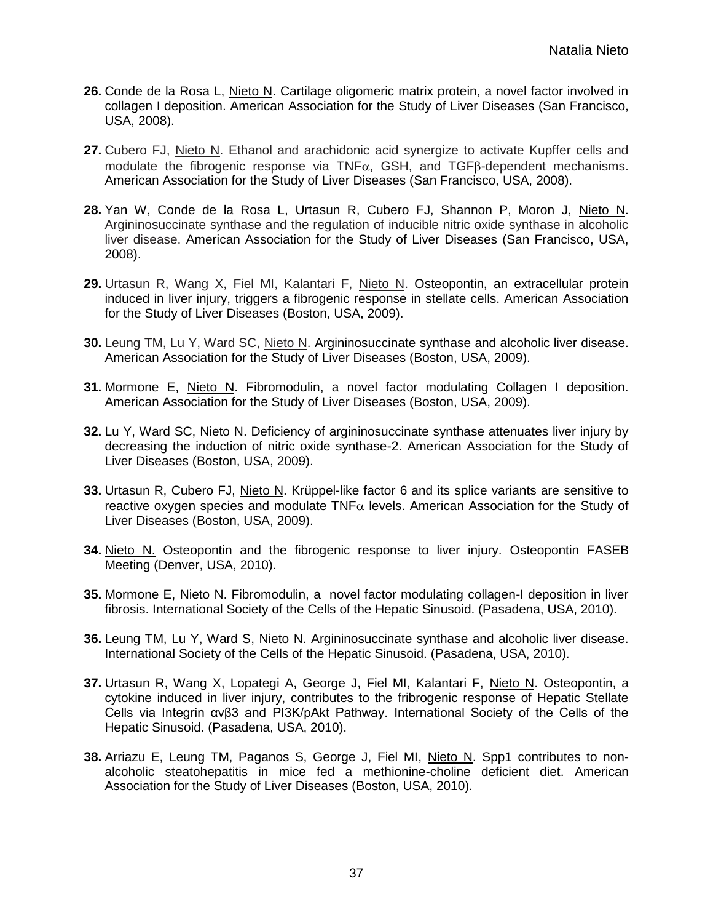- **26.** Conde de la Rosa L, Nieto N. Cartilage oligomeric matrix protein, a novel factor involved in collagen I deposition. American Association for the Study of Liver Diseases (San Francisco, USA, 2008).
- **27.** Cubero FJ, Nieto N. Ethanol and arachidonic acid synergize to activate Kupffer cells and modulate the fibrogenic response via TNF $\alpha$ , GSH, and TGFB-dependent mechanisms. American Association for the Study of Liver Diseases (San Francisco, USA, 2008).
- **28.** Yan W, Conde de la Rosa L, Urtasun R, Cubero FJ, Shannon P, Moron J, Nieto N. Argininosuccinate synthase and the regulation of inducible nitric oxide synthase in alcoholic liver disease. American Association for the Study of Liver Diseases (San Francisco, USA, 2008).
- **29.** Urtasun R, Wang X, Fiel MI, Kalantari F, Nieto N. Osteopontin, an extracellular protein induced in liver injury, triggers a fibrogenic response in stellate cells. American Association for the Study of Liver Diseases (Boston, USA, 2009).
- **30.** Leung TM, Lu Y, Ward SC, Nieto N. Argininosuccinate synthase and alcoholic liver disease. American Association for the Study of Liver Diseases (Boston, USA, 2009).
- **31.** Mormone E, Nieto N. Fibromodulin, a novel factor modulating Collagen I deposition. American Association for the Study of Liver Diseases (Boston, USA, 2009).
- **32.** Lu Y, Ward SC, Nieto N. Deficiency of argininosuccinate synthase attenuates liver injury by decreasing the induction of nitric oxide synthase-2. American Association for the Study of Liver Diseases (Boston, USA, 2009).
- **33.** Urtasun R, Cubero FJ, Nieto N. Krüppel-like factor 6 and its splice variants are sensitive to reactive oxygen species and modulate TNF $\alpha$  levels. American Association for the Study of Liver Diseases (Boston, USA, 2009).
- **34.** Nieto N. Osteopontin and the fibrogenic response to liver injury. Osteopontin FASEB Meeting (Denver, USA, 2010).
- **35.** Mormone E, Nieto N. Fibromodulin, a novel factor modulating collagen-I deposition in liver fibrosis. International Society of the Cells of the Hepatic Sinusoid. (Pasadena, USA, 2010).
- **36.** Leung TM, Lu Y, Ward S, Nieto N. Argininosuccinate synthase and alcoholic liver disease. International Society of the Cells of the Hepatic Sinusoid. (Pasadena, USA, 2010).
- **37.** Urtasun R, Wang X, Lopategi A, George J, Fiel MI, Kalantari F, Nieto N. Osteopontin, a cytokine induced in liver injury, contributes to the fribrogenic response of Hepatic Stellate Cells via Integrin αvβ3 and PI3K/pAkt Pathway. International Society of the Cells of the Hepatic Sinusoid. (Pasadena, USA, 2010).
- **38.** Arriazu E, Leung TM, Paganos S, George J, Fiel MI, Nieto N. Spp1 contributes to nonalcoholic steatohepatitis in mice fed a methionine-choline deficient diet. American Association for the Study of Liver Diseases (Boston, USA, 2010).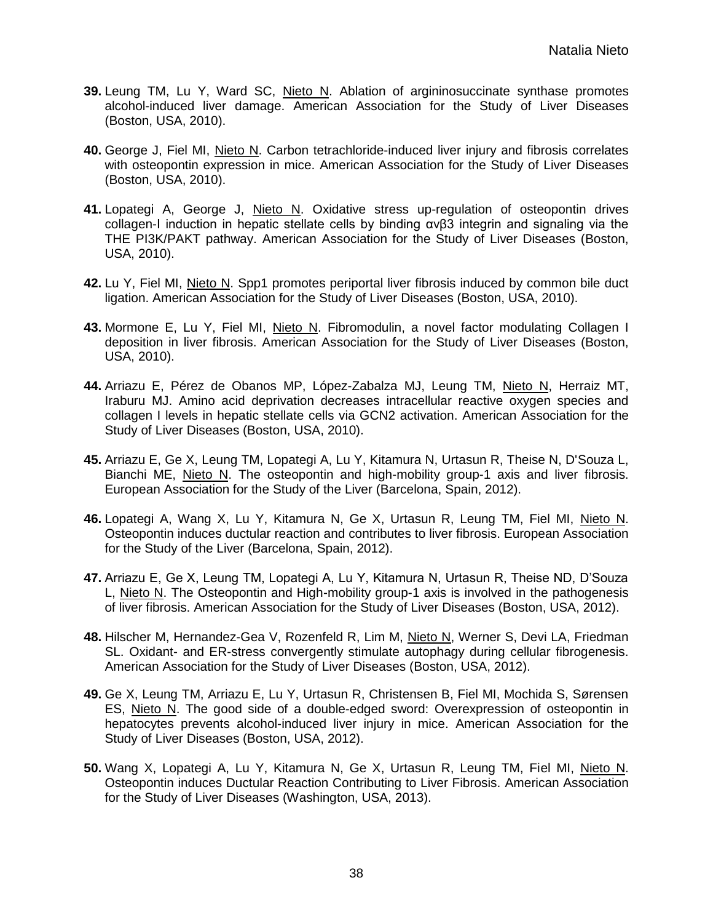- **39.** Leung TM, Lu Y, Ward SC, Nieto N. Ablation of argininosuccinate synthase promotes alcohol-induced liver damage. American Association for the Study of Liver Diseases (Boston, USA, 2010).
- **40.** George J, Fiel MI, Nieto N. Carbon tetrachloride-induced liver injury and fibrosis correlates with osteopontin expression in mice. American Association for the Study of Liver Diseases (Boston, USA, 2010).
- **41.** Lopategi A, George J, Nieto N. Oxidative stress up-regulation of osteopontin drives collagen-I induction in hepatic stellate cells by binding αvβ3 integrin and signaling via the THE PI3K/PAKT pathway. American Association for the Study of Liver Diseases (Boston, USA, 2010).
- **42.** Lu Y, Fiel MI, Nieto N. Spp1 promotes periportal liver fibrosis induced by common bile duct ligation. American Association for the Study of Liver Diseases (Boston, USA, 2010).
- **43.** Mormone E, Lu Y, Fiel MI, Nieto N. Fibromodulin, a novel factor modulating Collagen I deposition in liver fibrosis. American Association for the Study of Liver Diseases (Boston, USA, 2010).
- **44.** Arriazu E, Pérez de Obanos MP, López-Zabalza MJ, Leung TM, Nieto N, Herraiz MT, Iraburu MJ. Amino acid deprivation decreases intracellular reactive oxygen species and collagen I levels in hepatic stellate cells via GCN2 activation. American Association for the Study of Liver Diseases (Boston, USA, 2010).
- **45.** Arriazu E, Ge X, Leung TM, Lopategi A, Lu Y, Kitamura N, Urtasun R, Theise N, D'Souza L, Bianchi ME, Nieto N. The osteopontin and high-mobility group-1 axis and liver fibrosis. European Association for the Study of the Liver (Barcelona, Spain, 2012).
- **46.** Lopategi A, Wang X, Lu Y, Kitamura N, Ge X, Urtasun R, Leung TM, Fiel MI, Nieto N. Osteopontin induces ductular reaction and contributes to liver fibrosis. European Association for the Study of the Liver (Barcelona, Spain, 2012).
- **47.** Arriazu E, Ge X, Leung TM, Lopategi A, Lu Y, Kitamura N, Urtasun R, Theise ND, D'Souza L, Nieto N. The Osteopontin and High-mobility group-1 axis is involved in the pathogenesis of liver fibrosis. American Association for the Study of Liver Diseases (Boston, USA, 2012).
- **48.** Hilscher M, Hernandez-Gea V, Rozenfeld R, Lim M, Nieto N, Werner S, Devi LA, Friedman SL. Oxidant- and ER-stress convergently stimulate autophagy during cellular fibrogenesis. American Association for the Study of Liver Diseases (Boston, USA, 2012).
- **49.** Ge X, Leung TM, Arriazu E, Lu Y, Urtasun R, Christensen B, Fiel MI, Mochida S, Sørensen ES, Nieto N. The good side of a double-edged sword: Overexpression of osteopontin in hepatocytes prevents alcohol-induced liver injury in mice. American Association for the Study of Liver Diseases (Boston, USA, 2012).
- **50.** Wang X, Lopategi A, Lu Y, Kitamura N, Ge X, Urtasun R, Leung TM, Fiel MI, Nieto N. Osteopontin induces Ductular Reaction Contributing to Liver Fibrosis. American Association for the Study of Liver Diseases (Washington, USA, 2013).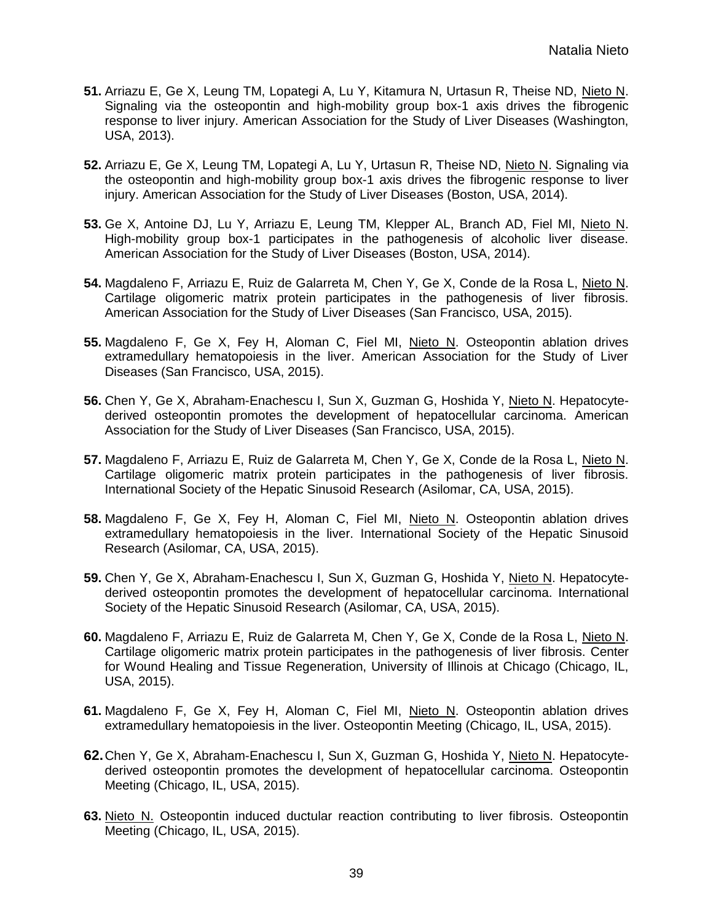- **51.** Arriazu E, Ge X, Leung TM, Lopategi A, Lu Y, Kitamura N, Urtasun R, Theise ND, Nieto N. Signaling via the osteopontin and high-mobility group box-1 axis drives the fibrogenic response to liver injury. American Association for the Study of Liver Diseases (Washington, USA, 2013).
- **52.** Arriazu E, Ge X, Leung TM, Lopategi A, Lu Y, Urtasun R, Theise ND, Nieto N. Signaling via the osteopontin and high-mobility group box-1 axis drives the fibrogenic response to liver injury. American Association for the Study of Liver Diseases (Boston, USA, 2014).
- **53.** Ge X, Antoine DJ, Lu Y, Arriazu E, Leung TM, Klepper AL, Branch AD, Fiel MI, Nieto N. High-mobility group box-1 participates in the pathogenesis of alcoholic liver disease. American Association for the Study of Liver Diseases (Boston, USA, 2014).
- **54.** Magdaleno F, Arriazu E, Ruiz de Galarreta M, Chen Y, Ge X, Conde de la Rosa L, Nieto N. Cartilage oligomeric matrix protein participates in the pathogenesis of liver fibrosis. American Association for the Study of Liver Diseases (San Francisco, USA, 2015).
- **55.** Magdaleno F, Ge X, Fey H, Aloman C, Fiel MI, Nieto N. Osteopontin ablation drives extramedullary hematopoiesis in the liver. American Association for the Study of Liver Diseases (San Francisco, USA, 2015).
- **56.** Chen Y, Ge X, Abraham-Enachescu I, Sun X, Guzman G, Hoshida Y, Nieto N. Hepatocytederived osteopontin promotes the development of hepatocellular carcinoma. American Association for the Study of Liver Diseases (San Francisco, USA, 2015).
- **57.** Magdaleno F, Arriazu E, Ruiz de Galarreta M, Chen Y, Ge X, Conde de la Rosa L, Nieto N. Cartilage oligomeric matrix protein participates in the pathogenesis of liver fibrosis. International Society of the Hepatic Sinusoid Research (Asilomar, CA, USA, 2015).
- **58.** Magdaleno F, Ge X, Fey H, Aloman C, Fiel MI, Nieto N. Osteopontin ablation drives extramedullary hematopoiesis in the liver. International Society of the Hepatic Sinusoid Research (Asilomar, CA, USA, 2015).
- **59.** Chen Y, Ge X, Abraham-Enachescu I, Sun X, Guzman G, Hoshida Y, Nieto N. Hepatocytederived osteopontin promotes the development of hepatocellular carcinoma. International Society of the Hepatic Sinusoid Research (Asilomar, CA, USA, 2015).
- **60.** Magdaleno F, Arriazu E, Ruiz de Galarreta M, Chen Y, Ge X, Conde de la Rosa L, Nieto N. Cartilage oligomeric matrix protein participates in the pathogenesis of liver fibrosis. Center for Wound Healing and Tissue Regeneration, University of Illinois at Chicago (Chicago, IL, USA, 2015).
- **61.** Magdaleno F, Ge X, Fey H, Aloman C, Fiel MI, Nieto N. Osteopontin ablation drives extramedullary hematopoiesis in the liver. Osteopontin Meeting (Chicago, IL, USA, 2015).
- **62.**Chen Y, Ge X, Abraham-Enachescu I, Sun X, Guzman G, Hoshida Y, Nieto N. Hepatocytederived osteopontin promotes the development of hepatocellular carcinoma. Osteopontin Meeting (Chicago, IL, USA, 2015).
- **63.** Nieto N. Osteopontin induced ductular reaction contributing to liver fibrosis. Osteopontin Meeting (Chicago, IL, USA, 2015).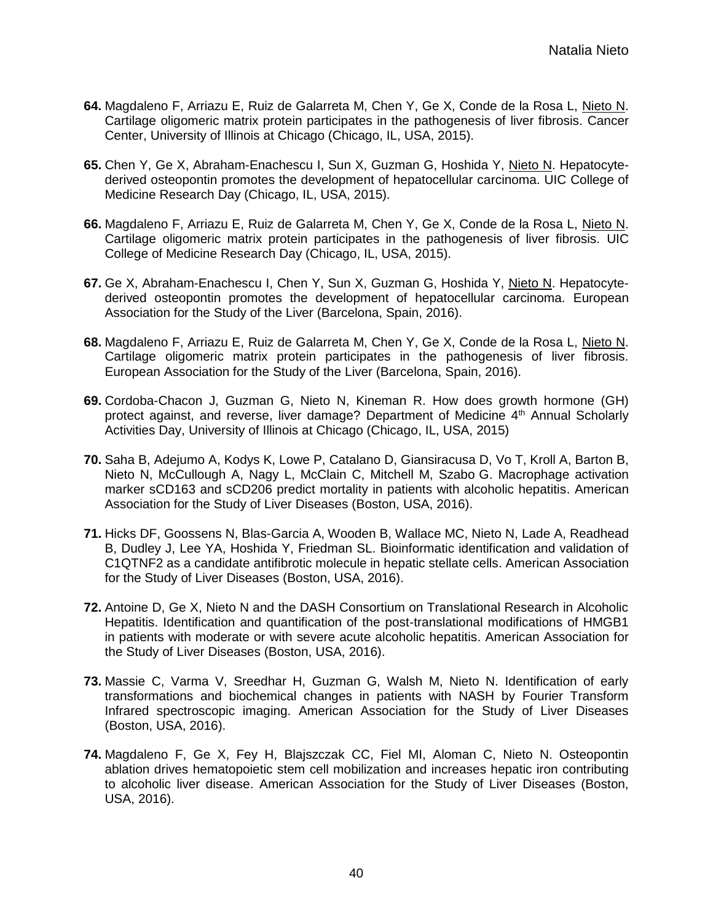- **64.** Magdaleno F, Arriazu E, Ruiz de Galarreta M, Chen Y, Ge X, Conde de la Rosa L, Nieto N. Cartilage oligomeric matrix protein participates in the pathogenesis of liver fibrosis. Cancer Center, University of Illinois at Chicago (Chicago, IL, USA, 2015).
- **65.** Chen Y, Ge X, Abraham-Enachescu I, Sun X, Guzman G, Hoshida Y, Nieto N. Hepatocytederived osteopontin promotes the development of hepatocellular carcinoma. UIC College of Medicine Research Day (Chicago, IL, USA, 2015).
- **66.** Magdaleno F, Arriazu E, Ruiz de Galarreta M, Chen Y, Ge X, Conde de la Rosa L, Nieto N. Cartilage oligomeric matrix protein participates in the pathogenesis of liver fibrosis. UIC College of Medicine Research Day (Chicago, IL, USA, 2015).
- **67.** Ge X, Abraham-Enachescu I, Chen Y, Sun X, Guzman G, Hoshida Y, Nieto N. Hepatocytederived osteopontin promotes the development of hepatocellular carcinoma. European Association for the Study of the Liver (Barcelona, Spain, 2016).
- **68.** Magdaleno F, Arriazu E, Ruiz de Galarreta M, Chen Y, Ge X, Conde de la Rosa L, Nieto N. Cartilage oligomeric matrix protein participates in the pathogenesis of liver fibrosis. European Association for the Study of the Liver (Barcelona, Spain, 2016).
- **69.** Cordoba-Chacon J, Guzman G, Nieto N, Kineman R. How does growth hormone (GH) protect against, and reverse, liver damage? Department of Medicine  $4<sup>th</sup>$  Annual Scholarly Activities Day, University of Illinois at Chicago (Chicago, IL, USA, 2015)
- **70.** Saha B, Adejumo A, Kodys K, Lowe P, Catalano D, Giansiracusa D, Vo T, Kroll A, Barton B, Nieto N, McCullough A, Nagy L, McClain C, Mitchell M, Szabo G. Macrophage activation marker sCD163 and sCD206 predict mortality in patients with alcoholic hepatitis. American Association for the Study of Liver Diseases (Boston, USA, 2016).
- **71.** Hicks DF, Goossens N, Blas-Garcia A, Wooden B, Wallace MC, Nieto N, Lade A, Readhead B, Dudley J, Lee YA, Hoshida Y, Friedman SL. Bioinformatic identification and validation of C1QTNF2 as a candidate antifibrotic molecule in hepatic stellate cells. American Association for the Study of Liver Diseases (Boston, USA, 2016).
- **72.** Antoine D, Ge X, Nieto N and the DASH Consortium on Translational Research in Alcoholic Hepatitis. Identification and quantification of the post-translational modifications of HMGB1 in patients with moderate or with severe acute alcoholic hepatitis. American Association for the Study of Liver Diseases (Boston, USA, 2016).
- **73.** Massie C, Varma V, Sreedhar H, Guzman G, Walsh M, Nieto N. Identification of early transformations and biochemical changes in patients with NASH by Fourier Transform Infrared spectroscopic imaging. American Association for the Study of Liver Diseases (Boston, USA, 2016).
- **74.** Magdaleno F, Ge X, Fey H, Blajszczak CC, Fiel MI, Aloman C, Nieto N. Osteopontin ablation drives hematopoietic stem cell mobilization and increases hepatic iron contributing to alcoholic liver disease. American Association for the Study of Liver Diseases (Boston, USA, 2016).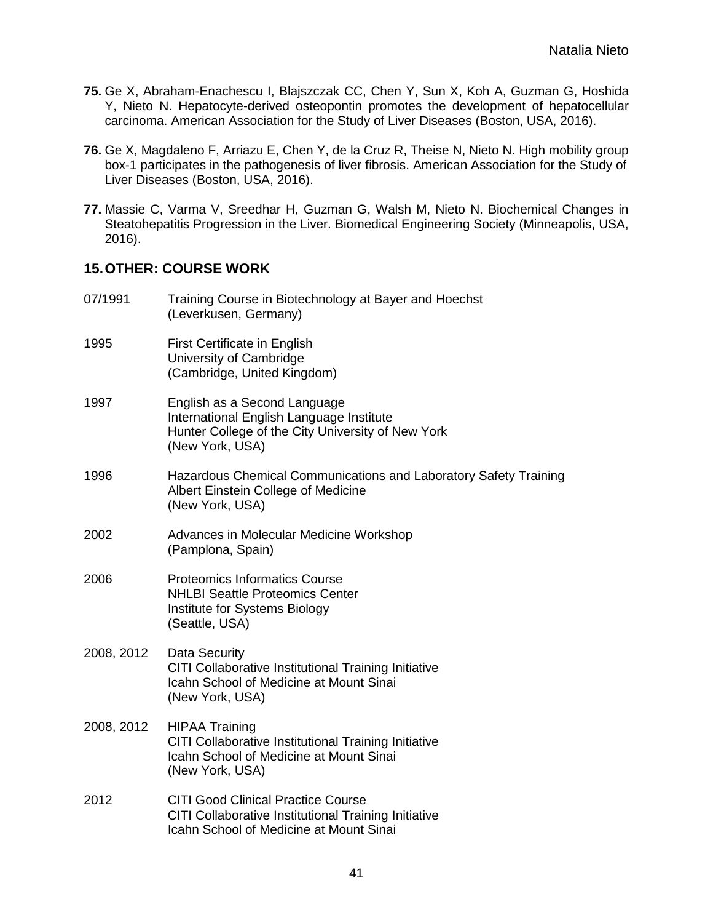- **75.** Ge X, Abraham-Enachescu I, Blajszczak CC, Chen Y, Sun X, Koh A, Guzman G, Hoshida Y, Nieto N. Hepatocyte-derived osteopontin promotes the development of hepatocellular carcinoma. American Association for the Study of Liver Diseases (Boston, USA, 2016).
- **76.** Ge X, Magdaleno F, Arriazu E, Chen Y, de la Cruz R, Theise N, Nieto N. High mobility group box-1 participates in the pathogenesis of liver fibrosis. American Association for the Study of Liver Diseases (Boston, USA, 2016).
- **77.** Massie C, Varma V, Sreedhar H, Guzman G, Walsh M, Nieto N. Biochemical Changes in Steatohepatitis Progression in the Liver. Biomedical Engineering Society (Minneapolis, USA, 2016).

#### **15.OTHER: COURSE WORK**

07/1991 Training Course in Biotechnology at Bayer and Hoechst (Leverkusen, Germany) 1995 First Certificate in English University of Cambridge (Cambridge, United Kingdom) 1997 English as a Second Language International English Language Institute Hunter College of the City University of New York (New York, USA) 1996 Hazardous Chemical Communications and Laboratory Safety Training Albert Einstein College of Medicine (New York, USA) 2002 Advances in Molecular Medicine Workshop (Pamplona, Spain) 2006 Proteomics Informatics Course NHLBI Seattle Proteomics Center Institute for Systems Biology (Seattle, USA) 2008, 2012 Data Security CITI Collaborative Institutional Training Initiative Icahn School of Medicine at Mount Sinai (New York, USA) 2008, 2012 HIPAA Training CITI Collaborative Institutional Training Initiative Icahn School of Medicine at Mount Sinai (New York, USA) 2012 CITI Good Clinical Practice Course CITI Collaborative Institutional Training Initiative Icahn School of Medicine at Mount Sinai